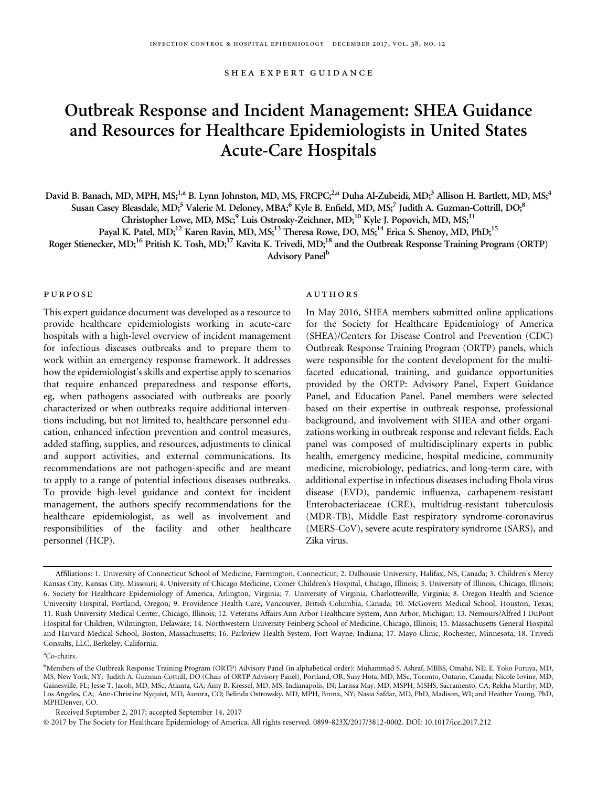shea expert guidance

# Outbreak Response and Incident Management: SHEA Guidance and Resources for Healthcare Epidemiologists in United States Acute-Care Hospitals

David B. Banach, MD, MPH, MS;<sup>1,a</sup> B. Lynn Johnston, MD, MS, FRCPC;<sup>2,a</sup> Duha Al-Zubeidi, MD;<sup>3</sup> Allison H. Bartlett, MD, MS;<sup>4</sup> Susan Casey Bleasdale, MD;<sup>5</sup> Valerie M. Deloney, MBA;<sup>6</sup> Kyle B. Enfield, MD, MS;<sup>7</sup> Judith A. Guzman-Cottrill, DO;<sup>8</sup>

Christopher Lowe, MD, MSc;<sup>9</sup> Luis Ostrosky-Zeichner, MD;<sup>10</sup> Kyle J. Popovich, MD, MS;<sup>11</sup>

Payal K. Patel, MD;<sup>12</sup> Karen Ravin, MD, MS;<sup>13</sup> Theresa Rowe, DO, MS;<sup>14</sup> Erica S. Shenoy, MD, PhD;<sup>15</sup>

Roger Stienecker, MD;<sup>16</sup> Pritish K. Tosh, MD;<sup>17</sup> Kavita K. Trivedi, MD;<sup>18</sup> and the Outbreak Response Training Program (ORTP)

Advisory Panel<sup>b</sup>

## purpose

This expert guidance document was developed as a resource to provide healthcare epidemiologists working in acute-care hospitals with a high-level overview of incident management for infectious diseases outbreaks and to prepare them to work within an emergency response framework. It addresses how the epidemiologist's skills and expertise apply to scenarios that require enhanced preparedness and response efforts, eg, when pathogens associated with outbreaks are poorly characterized or when outbreaks require additional interventions including, but not limited to, healthcare personnel education, enhanced infection prevention and control measures, added staffing, supplies, and resources, adjustments to clinical and support activities, and external communications. Its recommendations are not pathogen-specific and are meant to apply to a range of potential infectious diseases outbreaks. To provide high-level guidance and context for incident management, the authors specify recommendations for the healthcare epidemiologist, as well as involvement and responsibilities of the facility and other healthcare personnel (HCP).

### authors

In May 2016, SHEA members submitted online applications for the Society for Healthcare Epidemiology of America (SHEA)/Centers for Disease Control and Prevention (CDC) Outbreak Response Training Program (ORTP) panels, which were responsible for the content development for the multifaceted educational, training, and guidance opportunities provided by the ORTP: Advisory Panel, Expert Guidance Panel, and Education Panel. Panel members were selected based on their expertise in outbreak response, professional background, and involvement with SHEA and other organizations working in outbreak response and relevant fields. Each panel was composed of multidisciplinary experts in public health, emergency medicine, hospital medicine, community medicine, microbiology, pediatrics, and long-term care, with additional expertise in infectious diseases including Ebola virus disease (EVD), pandemic influenza, carbapenem-resistant Enterobacteriaceae (CRE), multidrug-resistant tuberculosis (MDR-TB), Middle East respiratory syndrome-coronavirus (MERS-CoV), severe acute respiratory syndrome (SARS), and Zika virus.

a Co-chairs.

Received September 2, 2017; accepted September 14, 2017

© 2017 by The Society for Healthcare Epidemiology of America. All rights reserved. 0899-823X/2017/3812-0002. DOI: 10.1017/ice.2017.212

Affiliations: 1. University of Connecticut School of Medicine, Farmington, Connecticut; 2. Dalhousie University, Halifax, NS, Canada; 3. Children's Mercy Kansas City, Kansas City, Missouri; 4. University of Chicago Medicine, Comer Children's Hospital, Chicago, Illinois; 5. University of Illinois, Chicago, Illinois; 6. Society for Healthcare Epidemiology of America, Arlington, Virginia; 7. University of Virginia, Charlottesville, Virginia; 8. Oregon Health and Science University Hospital, Portland, Oregon; 9. Providence Health Care, Vancouver, British Columbia, Canada; 10. McGovern Medical School, Houston, Texas; 11. Rush University Medical Center, Chicago, Illinois; 12. Veterans Affairs Ann Arbor Healthcare System, Ann Arbor, Michigan; 13. Nemours/Alfred I DuPont Hospital for Children, Wilmington, Delaware; 14. Northwestern University Feinberg School of Medicine, Chicago, Illinois; 15. Massachusetts General Hospital and Harvard Medical School, Boston, Massachusetts; 16. Parkview Health System, Fort Wayne, Indiana; 17. Mayo Clinic, Rochester, Minnesota; 18. Trivedi Consults, LLC, Berkeley, California.

b Members of the Outbreak Response Training Program (ORTP) Advisory Panel (in alphabetical order): Muhammad S. Ashraf, MBBS, Omaha, NE; E. Yoko Furuya, MD, MS, New York, NY; Judith A. Guzman-Cottrill, DO (Chair of ORTP Advisory Panel), Portland, OR; Susy Hota, MD, MSc, Toronto, Ontario, Canada; Nicole Iovine, MD, Gainesville, FL; Jesse T. Jacob, MD, MSc, Atlanta, GA; Amy B. Kressel, MD, MS, Indianapolis, IN; Larissa May, MD, MSPH, MSHS, Sacramento, CA; Rekha Murthy, MD, Los Angeles, CA; Ann-Christine Nyquist, MD, Aurora, CO; Belinda Ostrowsky, MD, MPH, Bronx, NY; Nasia Safdar, MD, PhD, Madison, WI; and Heather Young, PhD, MPHDenver, CO.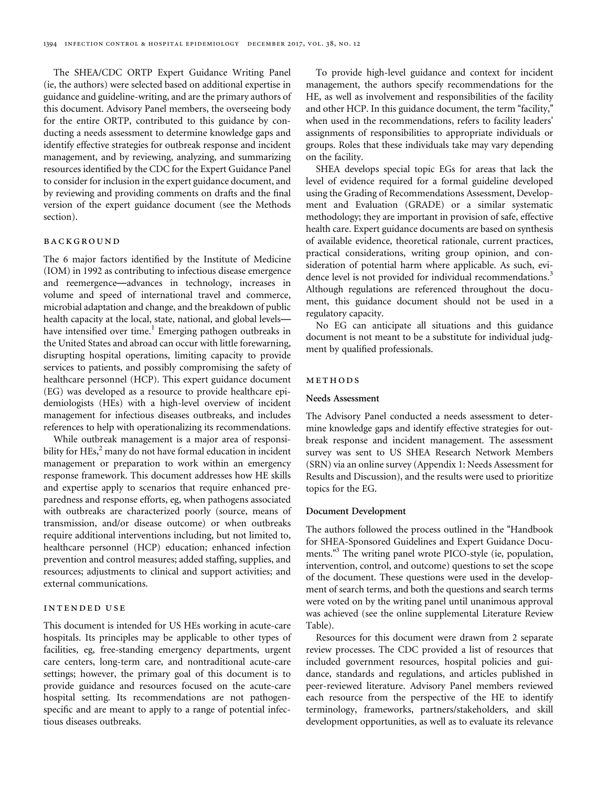The SHEA/CDC ORTP Expert Guidance Writing Panel (ie, the authors) were selected based on additional expertise in guidance and guideline-writing, and are the primary authors of this document. Advisory Panel members, the overseeing body for the entire ORTP, contributed to this guidance by conducting a needs assessment to determine knowledge gaps and identify effective strategies for outbreak response and incident management, and by reviewing, analyzing, and summarizing resources identified by the CDC for the Expert Guidance Panel to consider for inclusion in the expert guidance document, and by reviewing and providing comments on drafts and the final version of the expert guidance document (see the Methods section).

## background

The 6 major factors identified by the Institute of Medicine (IOM) in 1992 as contributing to infectious disease emergence and reemergence—advances in technology, increases in volume and speed of international travel and commerce, microbial adaptation and change, and the breakdown of public health capacity at the local, state, national, and global levels— have intensified over time.<sup>[1](#page-21-0)</sup> Emerging pathogen outbreaks in the United States and abroad can occur with little forewarning, disrupting hospital operations, limiting capacity to provide services to patients, and possibly compromising the safety of healthcare personnel (HCP). This expert guidance document (EG) was developed as a resource to provide healthcare epidemiologists (HEs) with a high-level overview of incident management for infectious diseases outbreaks, and includes references to help with operationalizing its recommendations.

While outbreak management is a major area of responsibility for HEs, $^2$  $^2$  many do not have formal education in incident management or preparation to work within an emergency response framework. This document addresses how HE skills and expertise apply to scenarios that require enhanced preparedness and response efforts, eg, when pathogens associated with outbreaks are characterized poorly (source, means of transmission, and/or disease outcome) or when outbreaks require additional interventions including, but not limited to, healthcare personnel (HCP) education; enhanced infection prevention and control measures; added staffing, supplies, and resources; adjustments to clinical and support activities; and external communications.

# intended use

This document is intended for US HEs working in acute-care hospitals. Its principles may be applicable to other types of facilities, eg, free-standing emergency departments, urgent care centers, long-term care, and nontraditional acute-care settings; however, the primary goal of this document is to provide guidance and resources focused on the acute-care hospital setting. Its recommendations are not pathogenspecific and are meant to apply to a range of potential infectious diseases outbreaks.

To provide high-level guidance and context for incident management, the authors specify recommendations for the HE, as well as involvement and responsibilities of the facility and other HCP. In this guidance document, the term "facility," when used in the recommendations, refers to facility leaders' assignments of responsibilities to appropriate individuals or groups. Roles that these individuals take may vary depending on the facility.

SHEA develops special topic EGs for areas that lack the level of evidence required for a formal guideline developed using the Grading of Recommendations Assessment, Development and Evaluation (GRADE) or a similar systematic methodology; they are important in provision of safe, effective health care. Expert guidance documents are based on synthesis of available evidence, theoretical rationale, current practices, practical considerations, writing group opinion, and consideration of potential harm where applicable. As such, evi-dence level is not provided for individual recommendations.<sup>[3](#page-21-0)</sup> Although regulations are referenced throughout the document, this guidance document should not be used in a regulatory capacity.

No EG can anticipate all situations and this guidance document is not meant to be a substitute for individual judgment by qualified professionals.

#### methods

#### Needs Assessment

The Advisory Panel conducted a needs assessment to determine knowledge gaps and identify effective strategies for outbreak response and incident management. The assessment survey was sent to US SHEA Research Network Members (SRN) via an online survey (Appendix 1: Needs Assessment for Results and Discussion), and the results were used to prioritize topics for the EG.

#### Document Development

The authors followed the process outlined in the "Handbook for SHEA-Sponsored Guidelines and Expert Guidance Docu-ments."<sup>[3](#page-21-0)</sup> The writing panel wrote PICO-style (ie, population, intervention, control, and outcome) questions to set the scope of the document. These questions were used in the development of search terms, and both the questions and search terms were voted on by the writing panel until unanimous approval was achieved (see the online supplemental Literature Review Table).

Resources for this document were drawn from 2 separate review processes. The CDC provided a list of resources that included government resources, hospital policies and guidance, standards and regulations, and articles published in peer-reviewed literature. Advisory Panel members reviewed each resource from the perspective of the HE to identify terminology, frameworks, partners/stakeholders, and skill development opportunities, as well as to evaluate its relevance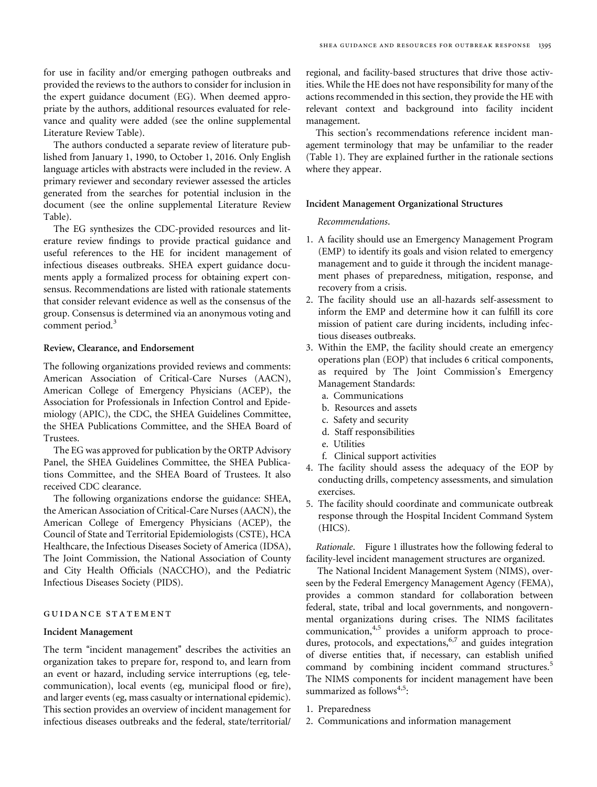for use in facility and/or emerging pathogen outbreaks and provided the reviews to the authors to consider for inclusion in the expert guidance document (EG). When deemed appropriate by the authors, additional resources evaluated for relevance and quality were added (see the online supplemental Literature Review Table).

The authors conducted a separate review of literature published from January 1, 1990, to October 1, 2016. Only English language articles with abstracts were included in the review. A primary reviewer and secondary reviewer assessed the articles generated from the searches for potential inclusion in the document (see the online supplemental Literature Review Table).

The EG synthesizes the CDC-provided resources and literature review findings to provide practical guidance and useful references to the HE for incident management of infectious diseases outbreaks. SHEA expert guidance documents apply a formalized process for obtaining expert consensus. Recommendations are listed with rationale statements that consider relevant evidence as well as the consensus of the group. Consensus is determined via an anonymous voting and comment period.<sup>[3](#page-21-0)</sup>

#### Review, Clearance, and Endorsement

The following organizations provided reviews and comments: American Association of Critical-Care Nurses (AACN), American College of Emergency Physicians (ACEP), the Association for Professionals in Infection Control and Epidemiology (APIC), the CDC, the SHEA Guidelines Committee, the SHEA Publications Committee, and the SHEA Board of Trustees.

The EG was approved for publication by the ORTP Advisory Panel, the SHEA Guidelines Committee, the SHEA Publications Committee, and the SHEA Board of Trustees. It also received CDC clearance.

The following organizations endorse the guidance: SHEA, the American Association of Critical-Care Nurses (AACN), the American College of Emergency Physicians (ACEP), the Council of State and Territorial Epidemiologists (CSTE), HCA Healthcare, the Infectious Diseases Society of America (IDSA), The Joint Commission, the National Association of County and City Health Officials (NACCHO), and the Pediatric Infectious Diseases Society (PIDS).

## guidance statement

#### Incident Management

The term "incident management" describes the activities an organization takes to prepare for, respond to, and learn from an event or hazard, including service interruptions (eg, telecommunication), local events (eg, municipal flood or fire), and larger events (eg, mass casualty or international epidemic). This section provides an overview of incident management for infectious diseases outbreaks and the federal, state/territorial/

regional, and facility-based structures that drive those activities. While the HE does not have responsibility for many of the actions recommended in this section, they provide the HE with relevant context and background into facility incident management.

This section's recommendations reference incident management terminology that may be unfamiliar to the reader [\(Table 1\)](#page-3-0). They are explained further in the rationale sections where they appear.

#### Incident Management Organizational Structures

#### Recommendations.

- 1. A facility should use an Emergency Management Program (EMP) to identify its goals and vision related to emergency management and to guide it through the incident management phases of preparedness, mitigation, response, and recovery from a crisis.
- 2. The facility should use an all-hazards self-assessment to inform the EMP and determine how it can fulfill its core mission of patient care during incidents, including infectious diseases outbreaks.
- 3. Within the EMP, the facility should create an emergency operations plan (EOP) that includes 6 critical components, as required by The Joint Commission's Emergency Management Standards:
	- a. Communications
	- b. Resources and assets
	- c. Safety and security
	- d. Staff responsibilities
	- e. Utilities
	- f. Clinical support activities
- 4. The facility should assess the adequacy of the EOP by conducting drills, competency assessments, and simulation exercises.
- 5. The facility should coordinate and communicate outbreak response through the Hospital Incident Command System (HICS).

Rationale. [Figure 1](#page-4-0) illustrates how the following federal to facility-level incident management structures are organized.

The National Incident Management System (NIMS), overseen by the Federal Emergency Management Agency (FEMA), provides a common standard for collaboration between federal, state, tribal and local governments, and nongovernmental organizations during crises. The NIMS facilitates communication,<sup>[4,5](#page-21-0)</sup> provides a uniform approach to proce-dures, protocols, and expectations,<sup>[6,7](#page-21-0)</sup> and guides integration of diverse entities that, if necessary, can establish unified command by combining incident command structures.<sup>[5](#page-21-0)</sup> The NIMS components for incident management have been summarized as follows<sup>[4,5](#page-21-0)</sup>:

- 1. Preparedness
- 2. Communications and information management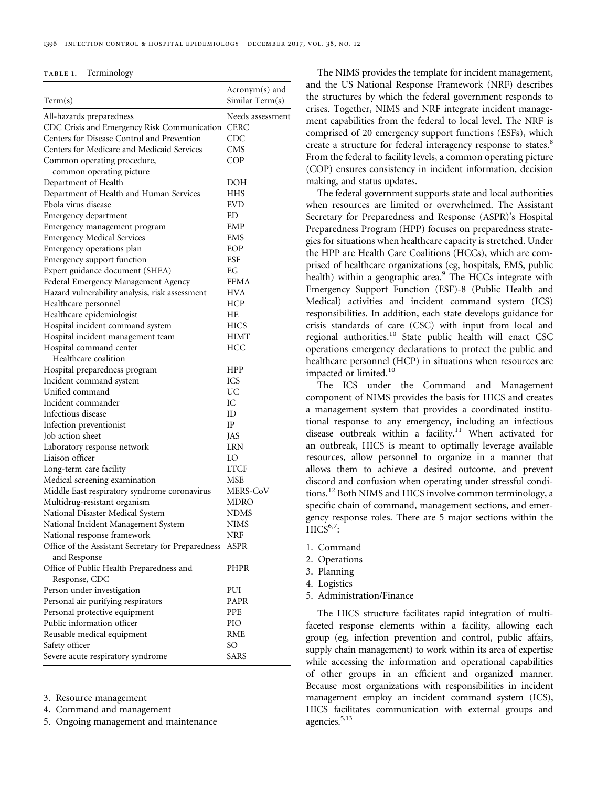<span id="page-3-0"></span>

|                                                    | Acronym(s) and<br>Similar Term(s) |
|----------------------------------------------------|-----------------------------------|
| Term(s)                                            |                                   |
| All-hazards preparedness                           | Needs assessment                  |
| CDC Crisis and Emergency Risk Communication        | <b>CERC</b>                       |
| Centers for Disease Control and Prevention         | CDC                               |
| Centers for Medicare and Medicaid Services         | CMS                               |
| Common operating procedure,                        | COP                               |
| common operating picture                           |                                   |
| Department of Health                               | DOH                               |
| Department of Health and Human Services            | <b>HHS</b>                        |
| Ebola virus disease                                | <b>EVD</b>                        |
| Emergency department                               | ED                                |
| Emergency management program                       | <b>EMP</b>                        |
| <b>Emergency Medical Services</b>                  | <b>EMS</b>                        |
| Emergency operations plan                          | EOP                               |
| Emergency support function                         | ESF                               |
| Expert guidance document (SHEA)                    | EG                                |
| Federal Emergency Management Agency                | <b>FEMA</b>                       |
| Hazard vulnerability analysis, risk assessment     | HVA                               |
| Healthcare personnel                               | <b>HCP</b>                        |
| Healthcare epidemiologist                          | НE                                |
| Hospital incident command system                   | <b>HICS</b>                       |
| Hospital incident management team                  | <b>HIMT</b>                       |
| Hospital command center                            | <b>HCC</b>                        |
| Healthcare coalition                               |                                   |
| Hospital preparedness program                      | HPP                               |
| Incident command system                            | ICS                               |
| Unified command                                    | UC                                |
| Incident commander                                 | IC                                |
| Infectious disease                                 | ID                                |
| Infection preventionist                            | IP                                |
| Job action sheet                                   | <b>JAS</b>                        |
| Laboratory response network                        | <b>LRN</b>                        |
| Liaison officer                                    | LO                                |
| Long-term care facility                            | <b>LTCF</b>                       |
| Medical screening examination                      | MSE                               |
| Middle East respiratory syndrome coronavirus       | MERS-CoV                          |
| Multidrug-resistant organism                       | MDRO                              |
| National Disaster Medical System                   | <b>NDMS</b>                       |
| National Incident Management System                | NIMS                              |
| National response framework                        | NRF                               |
| Office of the Assistant Secretary for Preparedness | ASPR                              |
| and Response                                       |                                   |
| Office of Public Health Preparedness and           | PHPR                              |
| Response, CDC                                      |                                   |
| Person under investigation                         | PUI                               |
| Personal air purifying respirators                 | PAPR                              |
| Personal protective equipment                      | PPE                               |
| Public information officer                         | PIO                               |
| Reusable medical equipment                         | <b>RME</b>                        |
| Safety officer                                     | SО                                |
| Severe acute respiratory syndrome                  | SARS                              |
|                                                    |                                   |

3. Resource management

4. Command and management

5. Ongoing management and maintenance

The NIMS provides the template for incident management, and the US National Response Framework (NRF) describes the structures by which the federal government responds to crises. Together, NIMS and NRF integrate incident management capabilities from the federal to local level. The NRF is comprised of 20 emergency support functions (ESFs), which create a structure for federal interagency response to states.<sup>[8](#page-21-0)</sup> From the federal to facility levels, a common operating picture (COP) ensures consistency in incident information, decision making, and status updates.

The federal government supports state and local authorities when resources are limited or overwhelmed. The Assistant Secretary for Preparedness and Response (ASPR)'s Hospital Preparedness Program (HPP) focuses on preparedness strategies for situations when healthcare capacity is stretched. Under the HPP are Health Care Coalitions (HCCs), which are comprised of healthcare organizations (eg, hospitals, EMS, public health) within a geographic area.<sup>[9](#page-21-0)</sup> The HCCs integrate with Emergency Support Function (ESF)-8 (Public Health and Medical) activities and incident command system (ICS) responsibilities. In addition, each state develops guidance for crisis standards of care (CSC) with input from local and regional authorities.<sup>10</sup> State public health will enact CSC operations emergency declarations to protect the public and healthcare personnel (HCP) in situations when resources are impacted or limited.<sup>[10](#page-21-0)</sup>

The ICS under the Command and Management component of NIMS provides the basis for HICS and creates a management system that provides a coordinated institutional response to any emergency, including an infectious disease outbreak within a facility.<sup>[11](#page-21-0)</sup> When activated for an outbreak, HICS is meant to optimally leverage available resources, allow personnel to organize in a manner that allows them to achieve a desired outcome, and prevent discord and confusion when operating under stressful conditions.[12](#page-21-0) Both NIMS and HICS involve common terminology, a specific chain of command, management sections, and emergency response roles. There are 5 major sections within the  $HICS^{6,7}$  $HICS^{6,7}$  $HICS^{6,7}$  $HICS^{6,7}$  $HICS^{6,7}$ :

- 1. Command
- 2. Operations
- 3. Planning
- 4. Logistics
- 5. Administration/Finance

The HICS structure facilitates rapid integration of multifaceted response elements within a facility, allowing each group (eg, infection prevention and control, public affairs, supply chain management) to work within its area of expertise while accessing the information and operational capabilities of other groups in an efficient and organized manner. Because most organizations with responsibilities in incident management employ an incident command system (ICS), HICS facilitates communication with external groups and agencies. $5,13$  $5,13$  $5,13$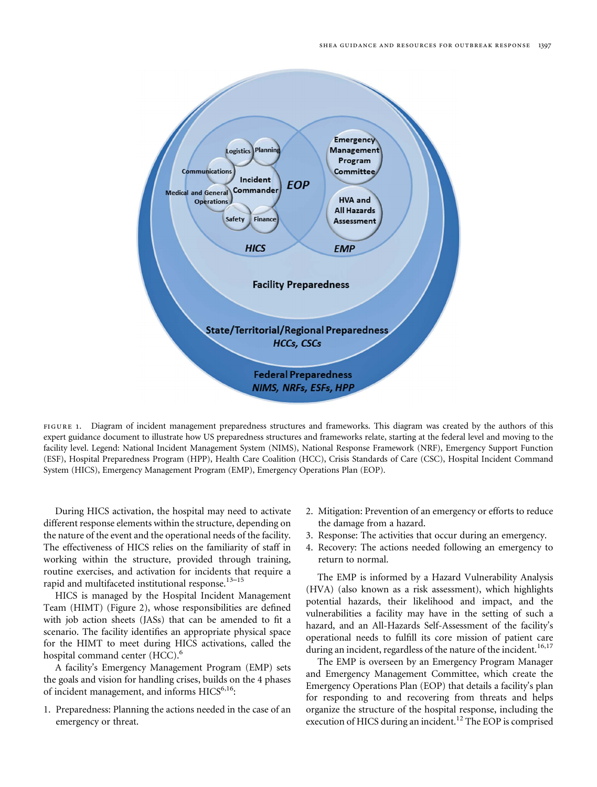<span id="page-4-0"></span>

FIGURE 1. Diagram of incident management preparedness structures and frameworks. This diagram was created by the authors of this expert guidance document to illustrate how US preparedness structures and frameworks relate, starting at the federal level and moving to the facility level. Legend: National Incident Management System (NIMS), National Response Framework (NRF), Emergency Support Function (ESF), Hospital Preparedness Program (HPP), Health Care Coalition (HCC), Crisis Standards of Care (CSC), Hospital Incident Command System (HICS), Emergency Management Program (EMP), Emergency Operations Plan (EOP).

During HICS activation, the hospital may need to activate different response elements within the structure, depending on the nature of the event and the operational needs of the facility. The effectiveness of HICS relies on the familiarity of staff in working within the structure, provided through training, routine exercises, and activation for incidents that require a rapid and multifaceted institutional response.<sup>[13](#page-21-0)-[15](#page-21-0)</sup>

HICS is managed by the Hospital Incident Management Team (HIMT) ([Figure 2](#page-5-0)), whose responsibilities are defined with job action sheets (JASs) that can be amended to fit a scenario. The facility identifies an appropriate physical space for the HIMT to meet during HICS activations, called the hospital command center (HCC).<sup>[6](#page-21-0)</sup>

A facility's Emergency Management Program (EMP) sets the goals and vision for handling crises, builds on the 4 phases of incident management, and informs HICS<sup>[6,16](#page-21-0)</sup>:

1. Preparedness: Planning the actions needed in the case of an emergency or threat.

- 2. Mitigation: Prevention of an emergency or efforts to reduce the damage from a hazard.
- 3. Response: The activities that occur during an emergency.
- 4. Recovery: The actions needed following an emergency to return to normal.

The EMP is informed by a Hazard Vulnerability Analysis (HVA) (also known as a risk assessment), which highlights potential hazards, their likelihood and impact, and the vulnerabilities a facility may have in the setting of such a hazard, and an All-Hazards Self-Assessment of the facility's operational needs to fulfill its core mission of patient care during an incident, regardless of the nature of the incident.<sup>[16,17](#page-21-0)</sup>

The EMP is overseen by an Emergency Program Manager and Emergency Management Committee, which create the Emergency Operations Plan (EOP) that details a facility's plan for responding to and recovering from threats and helps organize the structure of the hospital response, including the execution of HICS during an incident.<sup>[12](#page-21-0)</sup> The EOP is comprised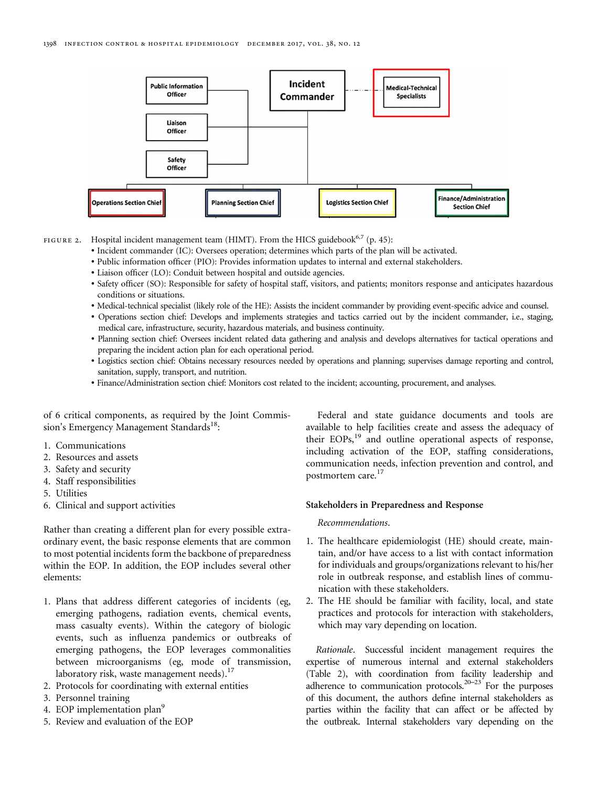<span id="page-5-0"></span>

FIGURE 2. Hospital incident management team (HIMT). From the HICS guidebook<sup>[6](#page-21-0),[7](#page-21-0)</sup> (p. 45):

- ∙ Incident commander (IC): Oversees operation; determines which parts of the plan will be activated.
- ∙ Public information officer (PIO): Provides information updates to internal and external stakeholders.
- ∙ Liaison officer (LO): Conduit between hospital and outside agencies.
- ∙ Safety officer (SO): Responsible for safety of hospital staff, visitors, and patients; monitors response and anticipates hazardous conditions or situations.
- ∙ Medical-technical specialist (likely role of the HE): Assists the incident commander by providing event-specific advice and counsel.
- ∙ Operations section chief: Develops and implements strategies and tactics carried out by the incident commander, i.e., staging, medical care, infrastructure, security, hazardous materials, and business continuity.
- ∙ Planning section chief: Oversees incident related data gathering and analysis and develops alternatives for tactical operations and preparing the incident action plan for each operational period.
- ∙ Logistics section chief: Obtains necessary resources needed by operations and planning; supervises damage reporting and control, sanitation, supply, transport, and nutrition.
- ∙ Finance/Administration section chief: Monitors cost related to the incident; accounting, procurement, and analyses.

of 6 critical components, as required by the Joint Commis-sion's Emergency Management Standards<sup>[18](#page-21-0)</sup>:

- 1. Communications
- 2. Resources and assets
- 3. Safety and security
- 4. Staff responsibilities
- 5. Utilities
- 6. Clinical and support activities

Rather than creating a different plan for every possible extraordinary event, the basic response elements that are common to most potential incidents form the backbone of preparedness within the EOP. In addition, the EOP includes several other elements:

- 1. Plans that address different categories of incidents (eg, emerging pathogens, radiation events, chemical events, mass casualty events). Within the category of biologic events, such as influenza pandemics or outbreaks of emerging pathogens, the EOP leverages commonalities between microorganisms (eg, mode of transmission, laboratory risk, waste management needs). $^{17}$  $^{17}$  $^{17}$
- 2. Protocols for coordinating with external entities
- 3. Personnel training
- 4. EOP implementation plan<sup>[9](#page-21-0)</sup>
- 5. Review and evaluation of the EOP

Federal and state guidance documents and tools are available to help facilities create and assess the adequacy of their EOPs,<sup>19</sup> and outline operational aspects of response, including activation of the EOP, staffing considerations, communication needs, infection prevention and control, and postmortem care.<sup>[17](#page-21-0)</sup>

# Stakeholders in Preparedness and Response

# Recommendations.

- 1. The healthcare epidemiologist (HE) should create, maintain, and/or have access to a list with contact information for individuals and groups/organizations relevant to his/her role in outbreak response, and establish lines of communication with these stakeholders.
- 2. The HE should be familiar with facility, local, and state practices and protocols for interaction with stakeholders, which may vary depending on location.

Rationale. Successful incident management requires the expertise of numerous internal and external stakeholders [\(Table 2](#page-6-0)), with coordination from facility leadership and adherence to communication protocols. $20-23$  $20-23$  $20-23$  For the purposes of this document, the authors define internal stakeholders as parties within the facility that can affect or be affected by the outbreak. Internal stakeholders vary depending on the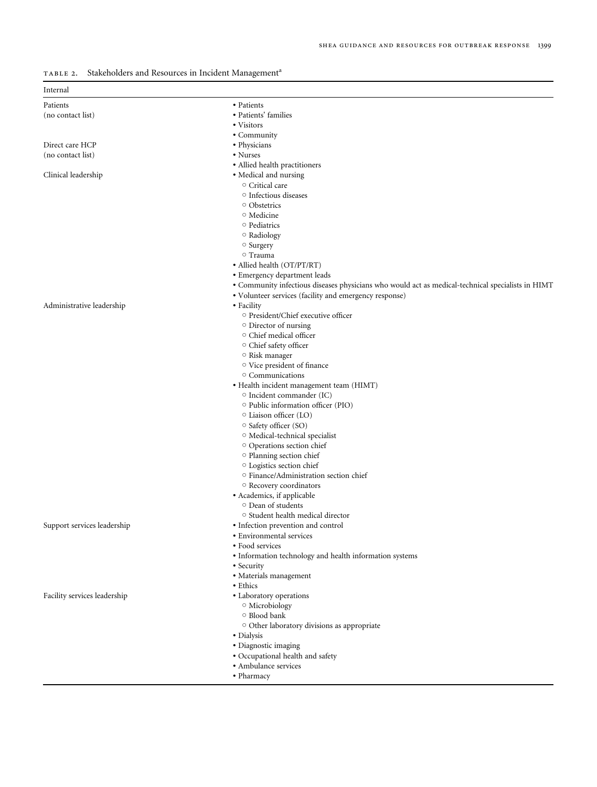<span id="page-6-0"></span>

| TABLE 2. Stakeholders and Resources in Incident Management <sup>a</sup> |  |  |
|-------------------------------------------------------------------------|--|--|
|                                                                         |  |  |

| Internal                     |                                                                                                   |
|------------------------------|---------------------------------------------------------------------------------------------------|
| Patients                     | • Patients                                                                                        |
| (no contact list)            | • Patients' families                                                                              |
|                              | • Visitors                                                                                        |
|                              | • Community                                                                                       |
| Direct care HCP              | • Physicians                                                                                      |
| (no contact list)            | • Nurses                                                                                          |
|                              | · Allied health practitioners                                                                     |
| Clinical leadership          | • Medical and nursing                                                                             |
|                              | ○ Critical care                                                                                   |
|                              | ○ Infectious diseases                                                                             |
|                              | ○ Obstetrics                                                                                      |
|                              | <sup>o</sup> Medicine                                                                             |
|                              | ○ Pediatrics                                                                                      |
|                              | $\circ$ Radiology                                                                                 |
|                              | o Surgery                                                                                         |
|                              | ○ Trauma                                                                                          |
|                              | • Allied health (OT/PT/RT)                                                                        |
|                              | • Emergency department leads                                                                      |
|                              | • Community infectious diseases physicians who would act as medical-technical specialists in HIMT |
|                              | • Volunteer services (facility and emergency response)                                            |
| Administrative leadership    | • Facility                                                                                        |
|                              | <sup>o</sup> President/Chief executive officer                                                    |
|                              | $\circ$ Director of nursing                                                                       |
|                              | O Chief medical officer                                                                           |
|                              | O Chief safety officer                                                                            |
|                              | O Risk manager                                                                                    |
|                              | <sup>o</sup> Vice president of finance                                                            |
|                              | O Communications                                                                                  |
|                              | · Health incident management team (HIMT)                                                          |
|                              | ○ Incident commander (IC)                                                                         |
|                              | ○ Public information officer (PIO)                                                                |
|                              | ○ Liaison officer (LO)                                                                            |
|                              | ○ Safety officer (SO)                                                                             |
|                              | O Medical-technical specialist                                                                    |
|                              | O Operations section chief                                                                        |
|                              | <sup>o</sup> Planning section chief                                                               |
|                              | <sup>o</sup> Logistics section chief                                                              |
|                              | ○ Finance/Administration section chief                                                            |
|                              | <sup>o</sup> Recovery coordinators                                                                |
|                              | • Academics, if applicable                                                                        |
|                              | <sup>o</sup> Dean of students                                                                     |
|                              | ○ Student health medical director                                                                 |
| Support services leadership  | • Infection prevention and control                                                                |
|                              | • Environmental services                                                                          |
|                              | • Food services                                                                                   |
|                              | • Information technology and health information systems                                           |
|                              | • Security                                                                                        |
|                              | · Materials management                                                                            |
|                              | • Ethics                                                                                          |
| Facility services leadership | • Laboratory operations                                                                           |
|                              | <sup>o</sup> Microbiology                                                                         |
|                              | ○ Blood bank                                                                                      |
|                              | O Other laboratory divisions as appropriate                                                       |
|                              | • Dialysis                                                                                        |
|                              | · Diagnostic imaging                                                                              |
|                              | · Occupational health and safety                                                                  |
|                              | • Ambulance services                                                                              |
|                              |                                                                                                   |

- ∙ Pharmacy
-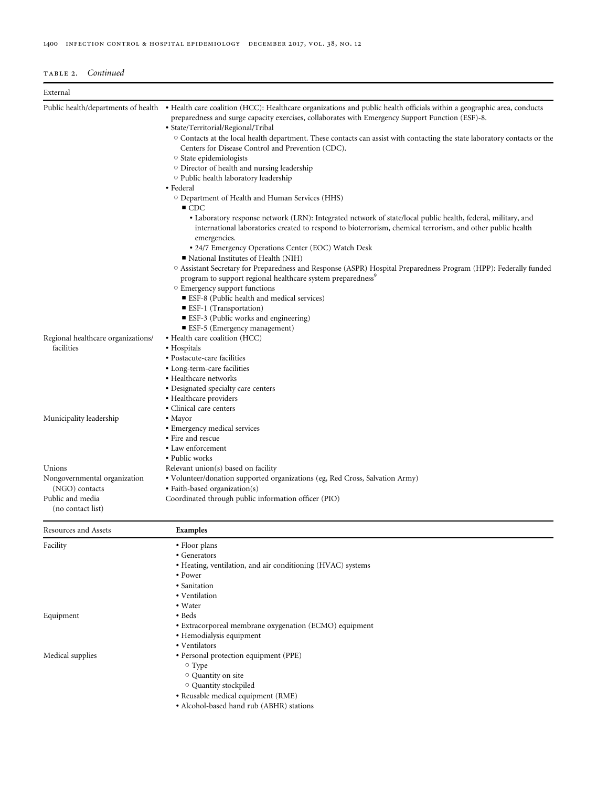| TABLE 2. | Continued |
|----------|-----------|

| External                                       |                                                                                                                                                                                                                                                                                                                                                                                                                                                           |  |  |  |  |  |
|------------------------------------------------|-----------------------------------------------------------------------------------------------------------------------------------------------------------------------------------------------------------------------------------------------------------------------------------------------------------------------------------------------------------------------------------------------------------------------------------------------------------|--|--|--|--|--|
| Public health/departments of health            | • Health care coalition (HCC): Healthcare organizations and public health officials within a geographic area, conducts<br>preparedness and surge capacity exercises, collaborates with Emergency Support Function (ESF)-8.<br>· State/Territorial/Regional/Tribal<br>$\circ$ Contacts at the local health department. These contacts can assist with contacting the state laboratory contacts or the<br>Centers for Disease Control and Prevention (CDC). |  |  |  |  |  |
|                                                | ○ State epidemiologists<br>O Director of health and nursing leadership                                                                                                                                                                                                                                                                                                                                                                                    |  |  |  |  |  |
|                                                | O Public health laboratory leadership                                                                                                                                                                                                                                                                                                                                                                                                                     |  |  |  |  |  |
|                                                | • Federal<br>O Department of Health and Human Services (HHS)<br>$\blacksquare$ CDC                                                                                                                                                                                                                                                                                                                                                                        |  |  |  |  |  |
|                                                | • Laboratory response network (LRN): Integrated network of state/local public health, federal, military, and<br>international laboratories created to respond to bioterrorism, chemical terrorism, and other public health                                                                                                                                                                                                                                |  |  |  |  |  |
|                                                | emergencies.<br>• 24/7 Emergency Operations Center (EOC) Watch Desk<br>National Institutes of Health (NIH)                                                                                                                                                                                                                                                                                                                                                |  |  |  |  |  |
|                                                | O Assistant Secretary for Preparedness and Response (ASPR) Hospital Preparedness Program (HPP): Federally funded<br>program to support regional healthcare system preparedness <sup>9</sup><br><sup>o</sup> Emergency support functions                                                                                                                                                                                                                   |  |  |  |  |  |
|                                                | ■ ESF-8 (Public health and medical services)<br><b>ESF-1</b> (Transportation)<br>■ ESF-3 (Public works and engineering)                                                                                                                                                                                                                                                                                                                                   |  |  |  |  |  |
|                                                | ■ ESF-5 (Emergency management)                                                                                                                                                                                                                                                                                                                                                                                                                            |  |  |  |  |  |
| Regional healthcare organizations/             | • Health care coalition (HCC)                                                                                                                                                                                                                                                                                                                                                                                                                             |  |  |  |  |  |
| facilities                                     | • Hospitals                                                                                                                                                                                                                                                                                                                                                                                                                                               |  |  |  |  |  |
|                                                | • Postacute-care facilities                                                                                                                                                                                                                                                                                                                                                                                                                               |  |  |  |  |  |
|                                                | • Long-term-care facilities                                                                                                                                                                                                                                                                                                                                                                                                                               |  |  |  |  |  |
|                                                | • Healthcare networks                                                                                                                                                                                                                                                                                                                                                                                                                                     |  |  |  |  |  |
|                                                | • Designated specialty care centers                                                                                                                                                                                                                                                                                                                                                                                                                       |  |  |  |  |  |
|                                                | • Healthcare providers<br>• Clinical care centers                                                                                                                                                                                                                                                                                                                                                                                                         |  |  |  |  |  |
| Municipality leadership                        | • Mayor                                                                                                                                                                                                                                                                                                                                                                                                                                                   |  |  |  |  |  |
|                                                | • Emergency medical services                                                                                                                                                                                                                                                                                                                                                                                                                              |  |  |  |  |  |
|                                                | • Fire and rescue                                                                                                                                                                                                                                                                                                                                                                                                                                         |  |  |  |  |  |
|                                                | • Law enforcement                                                                                                                                                                                                                                                                                                                                                                                                                                         |  |  |  |  |  |
|                                                | • Public works                                                                                                                                                                                                                                                                                                                                                                                                                                            |  |  |  |  |  |
| Unions                                         | Relevant union(s) based on facility                                                                                                                                                                                                                                                                                                                                                                                                                       |  |  |  |  |  |
| Nongovernmental organization<br>(NGO) contacts | · Volunteer/donation supported organizations (eg, Red Cross, Salvation Army)<br>• Faith-based organization(s)                                                                                                                                                                                                                                                                                                                                             |  |  |  |  |  |
| Public and media<br>(no contact list)          | Coordinated through public information officer (PIO)                                                                                                                                                                                                                                                                                                                                                                                                      |  |  |  |  |  |
| Resources and Assets                           | Examples                                                                                                                                                                                                                                                                                                                                                                                                                                                  |  |  |  |  |  |
| Facility                                       | • Floor plans                                                                                                                                                                                                                                                                                                                                                                                                                                             |  |  |  |  |  |
|                                                | • Generators                                                                                                                                                                                                                                                                                                                                                                                                                                              |  |  |  |  |  |
|                                                | • Heating, ventilation, and air conditioning (HVAC) systems                                                                                                                                                                                                                                                                                                                                                                                               |  |  |  |  |  |
|                                                | • Power                                                                                                                                                                                                                                                                                                                                                                                                                                                   |  |  |  |  |  |
|                                                | · Sanitation                                                                                                                                                                                                                                                                                                                                                                                                                                              |  |  |  |  |  |
|                                                | • Ventilation                                                                                                                                                                                                                                                                                                                                                                                                                                             |  |  |  |  |  |
| Equipment                                      | • Water<br>• Beds                                                                                                                                                                                                                                                                                                                                                                                                                                         |  |  |  |  |  |
|                                                | • Extracorporeal membrane oxygenation (ECMO) equipment                                                                                                                                                                                                                                                                                                                                                                                                    |  |  |  |  |  |
|                                                | • Hemodialysis equipment                                                                                                                                                                                                                                                                                                                                                                                                                                  |  |  |  |  |  |
|                                                | • Ventilators                                                                                                                                                                                                                                                                                                                                                                                                                                             |  |  |  |  |  |
| Medical supplies                               | · Personal protection equipment (PPE)                                                                                                                                                                                                                                                                                                                                                                                                                     |  |  |  |  |  |
|                                                | $\circ$ Type                                                                                                                                                                                                                                                                                                                                                                                                                                              |  |  |  |  |  |
|                                                | O Quantity on site                                                                                                                                                                                                                                                                                                                                                                                                                                        |  |  |  |  |  |
|                                                | O Quantity stockpiled                                                                                                                                                                                                                                                                                                                                                                                                                                     |  |  |  |  |  |
|                                                | · Reusable medical equipment (RME)                                                                                                                                                                                                                                                                                                                                                                                                                        |  |  |  |  |  |
|                                                | ثعبهم (ADIID) وابسا استمط الموميا المعار                                                                                                                                                                                                                                                                                                                                                                                                                  |  |  |  |  |  |

∙ Alcohol-based hand rub (ABHR) stations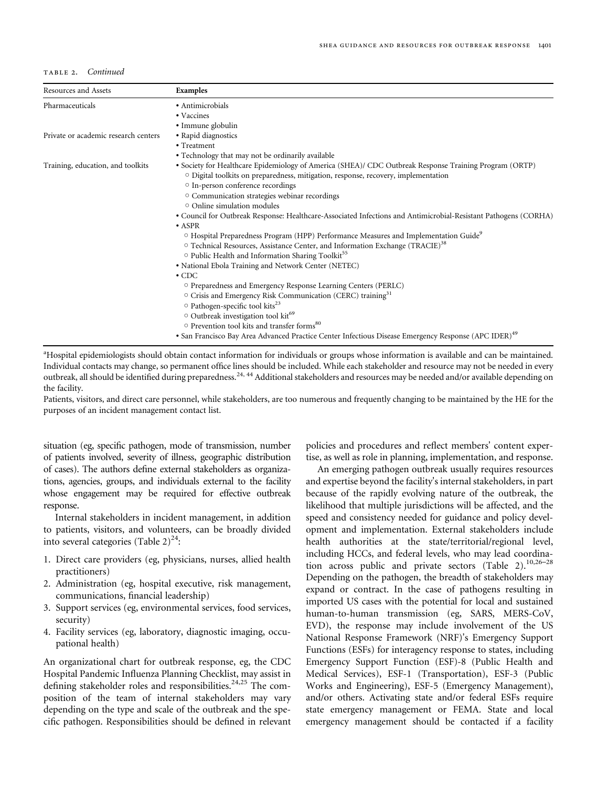# TABLE 2. Continued

| Resources and Assets                 | Examples                                                                                                                                                                                     |
|--------------------------------------|----------------------------------------------------------------------------------------------------------------------------------------------------------------------------------------------|
| Pharmaceuticals                      | • Antimicrobials                                                                                                                                                                             |
|                                      | • Vaccines                                                                                                                                                                                   |
|                                      | • Immune globulin                                                                                                                                                                            |
| Private or academic research centers | • Rapid diagnostics                                                                                                                                                                          |
|                                      | • Treatment                                                                                                                                                                                  |
|                                      | • Technology that may not be ordinarily available                                                                                                                                            |
| Training, education, and toolkits    | · Society for Healthcare Epidemiology of America (SHEA)/ CDC Outbreak Response Training Program (ORTP)<br>O Digital toolkits on preparedness, mitigation, response, recovery, implementation |
|                                      | <sup>o</sup> In-person conference recordings                                                                                                                                                 |
|                                      | O Communication strategies webinar recordings                                                                                                                                                |
|                                      | $\circ$ Online simulation modules                                                                                                                                                            |
|                                      | • Council for Outbreak Response: Healthcare-Associated Infections and Antimicrobial-Resistant Pathogens (CORHA)                                                                              |
|                                      | $\bullet$ ASPR                                                                                                                                                                               |
|                                      | <sup>o</sup> Hospital Preparedness Program (HPP) Performance Measures and Implementation Guide <sup>9</sup>                                                                                  |
|                                      | ○ Technical Resources, Assistance Center, and Information Exchange (TRACIE) <sup>38</sup>                                                                                                    |
|                                      | $\circ$ Public Health and Information Sharing Toolkit <sup>55</sup>                                                                                                                          |
|                                      | • National Ebola Training and Network Center (NETEC)                                                                                                                                         |
|                                      | $\cdot$ CDC                                                                                                                                                                                  |
|                                      | O Preparedness and Emergency Response Learning Centers (PERLC)                                                                                                                               |
|                                      | O Crisis and Emergency Risk Communication (CERC) training <sup>31</sup>                                                                                                                      |
|                                      | ○ Pathogen-specific tool kits <sup>23</sup>                                                                                                                                                  |
|                                      | Outbreak investigation tool kit <sup>69</sup>                                                                                                                                                |
|                                      | ○ Prevention tool kits and transfer forms <sup>80</sup>                                                                                                                                      |
|                                      | • San Francisco Bay Area Advanced Practice Center Infectious Disease Emergency Response (APC IDER) <sup>49</sup>                                                                             |

<sup>a</sup>Hospital epidemiologists should obtain contact information for individuals or groups whose information is available and can be maintained. Individual contacts may change, so permanent office lines should be included. While each stakeholder and resource may not be needed in every outbreak, all should be identified during preparedness.[24, 44](#page-22-0) Additional stakeholders and resources may be needed and/or available depending on the facility.

Patients, visitors, and direct care personnel, while stakeholders, are too numerous and frequently changing to be maintained by the HE for the purposes of an incident management contact list.

situation (eg, specific pathogen, mode of transmission, number of patients involved, severity of illness, geographic distribution of cases). The authors define external stakeholders as organizations, agencies, groups, and individuals external to the facility whose engagement may be required for effective outbreak response.

Internal stakeholders in incident management, in addition to patients, visitors, and volunteers, can be broadly divided into several categories (Table  $2)^{24}$  $2)^{24}$  $2)^{24}$ :

- 1. Direct care providers (eg, physicians, nurses, allied health practitioners)
- 2. Administration (eg, hospital executive, risk management, communications, financial leadership)
- 3. Support services (eg, environmental services, food services, security)
- 4. Facility services (eg, laboratory, diagnostic imaging, occupational health)

An organizational chart for outbreak response, eg, the CDC Hospital Pandemic Influenza Planning Checklist, may assist in defining stakeholder roles and responsibilities. $24,25$  The composition of the team of internal stakeholders may vary depending on the type and scale of the outbreak and the specific pathogen. Responsibilities should be defined in relevant

policies and procedures and reflect members' content expertise, as well as role in planning, implementation, and response.

An emerging pathogen outbreak usually requires resources and expertise beyond the facility's internal stakeholders, in part because of the rapidly evolving nature of the outbreak, the likelihood that multiple jurisdictions will be affected, and the speed and consistency needed for guidance and policy development and implementation. External stakeholders include health authorities at the state/territorial/regional level, including HCCs, and federal levels, who may lead coordina-tion across public and private sectors ([Table 2](#page-6-0)).<sup>[10,](#page-21-0)[26](#page-22-0)-[28](#page-22-0)</sup> Depending on the pathogen, the breadth of stakeholders may expand or contract. In the case of pathogens resulting in imported US cases with the potential for local and sustained human-to-human transmission (eg, SARS, MERS-CoV, EVD), the response may include involvement of the US National Response Framework (NRF)'s Emergency Support Functions (ESFs) for interagency response to states, including Emergency Support Function (ESF)-8 (Public Health and Medical Services), ESF-1 (Transportation), ESF-3 (Public Works and Engineering), ESF-5 (Emergency Management), and/or others. Activating state and/or federal ESFs require state emergency management or FEMA. State and local emergency management should be contacted if a facility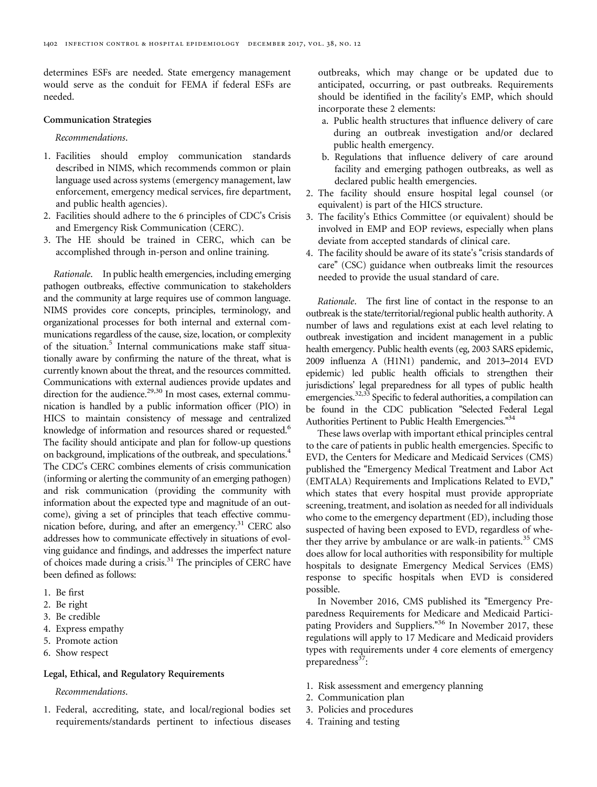determines ESFs are needed. State emergency management would serve as the conduit for FEMA if federal ESFs are needed.

#### Communication Strategies

# Recommendations.

- 1. Facilities should employ communication standards described in NIMS, which recommends common or plain language used across systems (emergency management, law enforcement, emergency medical services, fire department, and public health agencies).
- 2. Facilities should adhere to the 6 principles of CDC's Crisis and Emergency Risk Communication (CERC).
- 3. The HE should be trained in CERC, which can be accomplished through in-person and online training.

Rationale. In public health emergencies, including emerging pathogen outbreaks, effective communication to stakeholders and the community at large requires use of common language. NIMS provides core concepts, principles, terminology, and organizational processes for both internal and external communications regardless of the cause, size, location, or complexity of the situation.<sup>5</sup> Internal communications make staff situationally aware by confirming the nature of the threat, what is currently known about the threat, and the resources committed. Communications with external audiences provide updates and direction for the audience.<sup>29,[30](#page-22-0)</sup> In most cases, external communication is handled by a public information officer (PIO) in HICS to maintain consistency of message and centralized knowledge of information and resources shared or requested.<sup>[6](#page-21-0)</sup> The facility should anticipate and plan for follow-up questions on background, implications of the outbreak, and speculations.<sup>[4](#page-21-0)</sup> The CDC's CERC combines elements of crisis communication (informing or alerting the community of an emerging pathogen) and risk communication (providing the community with information about the expected type and magnitude of an outcome), giving a set of principles that teach effective communication before, during, and after an emergency.<sup>31</sup> CERC also addresses how to communicate effectively in situations of evolving guidance and findings, and addresses the imperfect nature of choices made during a crisis.<sup>31</sup> The principles of CERC have been defined as follows:

- 1. Be first
- 2. Be right
- 3. Be credible
- 4. Express empathy
- 5. Promote action
- 6. Show respect

#### Legal, Ethical, and Regulatory Requirements

Recommendations.

1. Federal, accrediting, state, and local/regional bodies set requirements/standards pertinent to infectious diseases outbreaks, which may change or be updated due to anticipated, occurring, or past outbreaks. Requirements should be identified in the facility's EMP, which should incorporate these 2 elements:

- a. Public health structures that influence delivery of care during an outbreak investigation and/or declared public health emergency.
- b. Regulations that influence delivery of care around facility and emerging pathogen outbreaks, as well as declared public health emergencies.
- 2. The facility should ensure hospital legal counsel (or equivalent) is part of the HICS structure.
- 3. The facility's Ethics Committee (or equivalent) should be involved in EMP and EOP reviews, especially when plans deviate from accepted standards of clinical care.
- 4. The facility should be aware of its state's "crisis standards of care" (CSC) guidance when outbreaks limit the resources needed to provide the usual standard of care.

Rationale. The first line of contact in the response to an outbreak is the state/territorial/regional public health authority. A number of laws and regulations exist at each level relating to outbreak investigation and incident management in a public health emergency. Public health events (eg, 2003 SARS epidemic, 2009 influenza A (H1N1) pandemic, and 2013–2014 EVD epidemic) led public health officials to strengthen their jurisdictions' legal preparedness for all types of public health emergencies.<sup>32,33</sup> Specific to federal authorities, a compilation can be found in the CDC publication "Selected Federal Legal Authorities Pertinent to Public Health Emergencies." [34](#page-22-0)

These laws overlap with important ethical principles central to the care of patients in public health emergencies. Specific to EVD, the Centers for Medicare and Medicaid Services (CMS) published the "Emergency Medical Treatment and Labor Act (EMTALA) Requirements and Implications Related to EVD," which states that every hospital must provide appropriate screening, treatment, and isolation as needed for all individuals who come to the emergency department (ED), including those suspected of having been exposed to EVD, regardless of whether they arrive by ambulance or are walk-in patients. $35$  CMS does allow for local authorities with responsibility for multiple hospitals to designate Emergency Medical Services (EMS) response to specific hospitals when EVD is considered possible.

In November 2016, CMS published its "Emergency Preparedness Requirements for Medicare and Medicaid Partici-pating Providers and Suppliers."<sup>[36](#page-22-0)</sup> In November 2017, these regulations will apply to 17 Medicare and Medicaid providers types with requirements under 4 core elements of emergency preparedness $37$ :

- 1. Risk assessment and emergency planning
- 2. Communication plan
- 3. Policies and procedures
- 4. Training and testing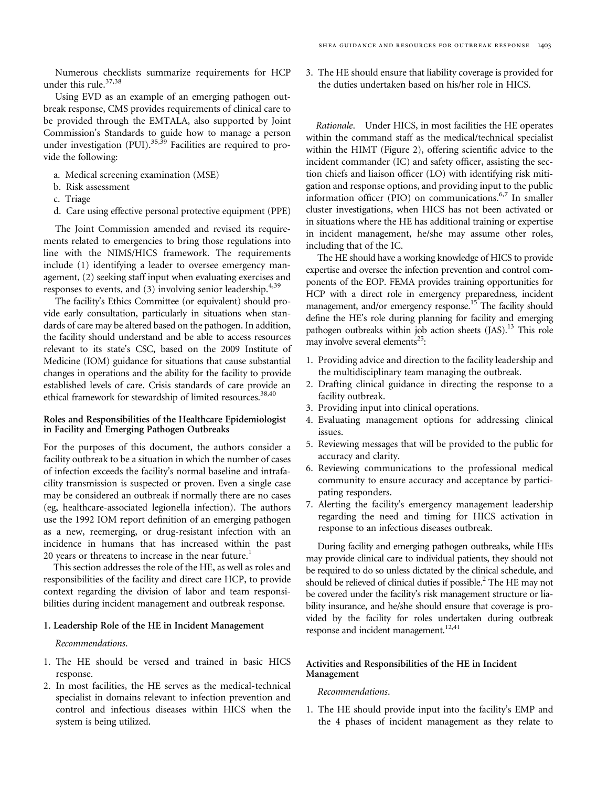Numerous checklists summarize requirements for HCP under this rule.<sup>[37](#page-22-0),[38](#page-22-0)</sup>

Using EVD as an example of an emerging pathogen outbreak response, CMS provides requirements of clinical care to be provided through the EMTALA, also supported by Joint Commission's Standards to guide how to manage a person under investigation  $(PUI).$ <sup>[35,39](#page-22-0)</sup> Facilities are required to provide the following:

- a. Medical screening examination (MSE)
- b. Risk assessment
- c. Triage
- d. Care using effective personal protective equipment (PPE)

The Joint Commission amended and revised its requirements related to emergencies to bring those regulations into line with the NIMS/HICS framework. The requirements include (1) identifying a leader to oversee emergency management, (2) seeking staff input when evaluating exercises and responses to events, and  $(3)$  involving senior leadership.<sup>[4,](#page-21-0)[39](#page-22-0)</sup>

The facility's Ethics Committee (or equivalent) should provide early consultation, particularly in situations when standards of care may be altered based on the pathogen. In addition, the facility should understand and be able to access resources relevant to its state's CSC, based on the 2009 Institute of Medicine (IOM) guidance for situations that cause substantial changes in operations and the ability for the facility to provide established levels of care. Crisis standards of care provide an ethical framework for stewardship of limited resources.<sup>38,40</sup>

# Roles and Responsibilities of the Healthcare Epidemiologist in Facility and Emerging Pathogen Outbreaks

For the purposes of this document, the authors consider a facility outbreak to be a situation in which the number of cases of infection exceeds the facility's normal baseline and intrafacility transmission is suspected or proven. Even a single case may be considered an outbreak if normally there are no cases (eg, healthcare-associated legionella infection). The authors use the 1992 IOM report definition of an emerging pathogen as a new, reemerging, or drug-resistant infection with an incidence in humans that has increased within the past 20 years or threatens to increase in the near future.<sup>[1](#page-21-0)</sup>

This section addresses the role of the HE, as well as roles and responsibilities of the facility and direct care HCP, to provide context regarding the division of labor and team responsibilities during incident management and outbreak response.

# 1. Leadership Role of the HE in Incident Management

# Recommendations.

- 1. The HE should be versed and trained in basic HICS response.
- 2. In most facilities, the HE serves as the medical-technical specialist in domains relevant to infection prevention and control and infectious diseases within HICS when the system is being utilized.

3. The HE should ensure that liability coverage is provided for the duties undertaken based on his/her role in HICS.

Rationale. Under HICS, in most facilities the HE operates within the command staff as the medical/technical specialist within the HIMT [\(Figure 2\)](#page-5-0), offering scientific advice to the incident commander (IC) and safety officer, assisting the section chiefs and liaison officer (LO) with identifying risk mitigation and response options, and providing input to the public information officer (PIO) on communications. $6,7$  $6,7$  $6,7$  In smaller cluster investigations, when HICS has not been activated or in situations where the HE has additional training or expertise in incident management, he/she may assume other roles, including that of the IC.

The HE should have a working knowledge of HICS to provide expertise and oversee the infection prevention and control components of the EOP. FEMA provides training opportunities for HCP with a direct role in emergency preparedness, incident management, and/or emergency response.<sup>15</sup> The facility should define the HE's role during planning for facility and emerging pathogen outbreaks within job action sheets  $(IAS).<sup>13</sup>$  $(IAS).<sup>13</sup>$  $(IAS).<sup>13</sup>$  This role may involve several elements $^{25}$ :

- 1. Providing advice and direction to the facility leadership and the multidisciplinary team managing the outbreak.
- 2. Drafting clinical guidance in directing the response to a facility outbreak.
- 3. Providing input into clinical operations.
- 4. Evaluating management options for addressing clinical issues.
- 5. Reviewing messages that will be provided to the public for accuracy and clarity.
- 6. Reviewing communications to the professional medical community to ensure accuracy and acceptance by participating responders.
- 7. Alerting the facility's emergency management leadership regarding the need and timing for HICS activation in response to an infectious diseases outbreak.

During facility and emerging pathogen outbreaks, while HEs may provide clinical care to individual patients, they should not be required to do so unless dictated by the clinical schedule, and should be relieved of clinical duties if possible.<sup>2</sup> The HE may not be covered under the facility's risk management structure or liability insurance, and he/she should ensure that coverage is provided by the facility for roles undertaken during outbreak response and incident management.<sup>[12](#page-21-0)[,41](#page-22-0)</sup>

# Activities and Responsibilities of the HE in Incident Management

#### Recommendations.

1. The HE should provide input into the facility's EMP and the 4 phases of incident management as they relate to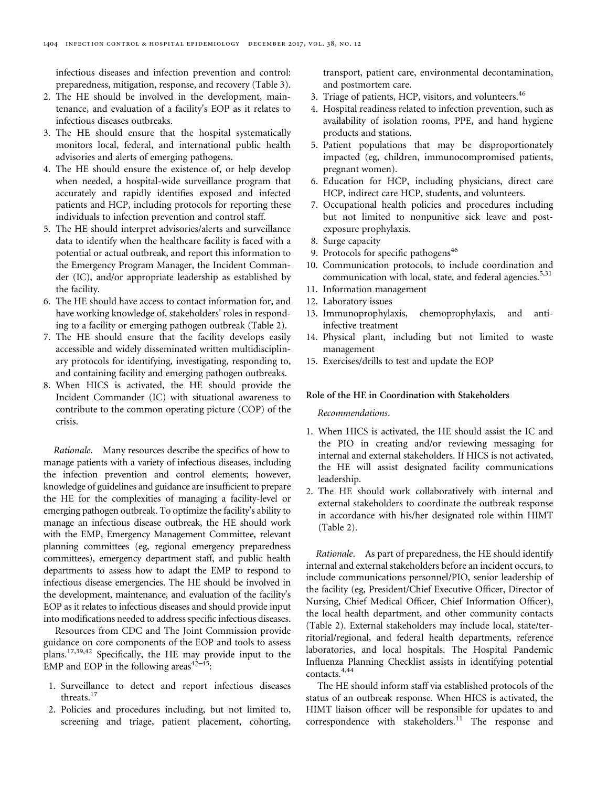infectious diseases and infection prevention and control: preparedness, mitigation, response, and recovery [\(Table 3](#page-12-0)).

- 2. The HE should be involved in the development, maintenance, and evaluation of a facility's EOP as it relates to infectious diseases outbreaks.
- 3. The HE should ensure that the hospital systematically monitors local, federal, and international public health advisories and alerts of emerging pathogens.
- 4. The HE should ensure the existence of, or help develop when needed, a hospital-wide surveillance program that accurately and rapidly identifies exposed and infected patients and HCP, including protocols for reporting these individuals to infection prevention and control staff.
- 5. The HE should interpret advisories/alerts and surveillance data to identify when the healthcare facility is faced with a potential or actual outbreak, and report this information to the Emergency Program Manager, the Incident Commander (IC), and/or appropriate leadership as established by the facility.
- 6. The HE should have access to contact information for, and have working knowledge of, stakeholders' roles in responding to a facility or emerging pathogen outbreak [\(Table 2\)](#page-6-0).
- 7. The HE should ensure that the facility develops easily accessible and widely disseminated written multidisciplinary protocols for identifying, investigating, responding to, and containing facility and emerging pathogen outbreaks.
- 8. When HICS is activated, the HE should provide the Incident Commander (IC) with situational awareness to contribute to the common operating picture (COP) of the crisis.

Rationale. Many resources describe the specifics of how to manage patients with a variety of infectious diseases, including the infection prevention and control elements; however, knowledge of guidelines and guidance are insufficient to prepare the HE for the complexities of managing a facility-level or emerging pathogen outbreak. To optimize the facility's ability to manage an infectious disease outbreak, the HE should work with the EMP, Emergency Management Committee, relevant planning committees (eg, regional emergency preparedness committees), emergency department staff, and public health departments to assess how to adapt the EMP to respond to infectious disease emergencies. The HE should be involved in the development, maintenance, and evaluation of the facility's EOP as it relates to infectious diseases and should provide input into modifications needed to address specific infectious diseases.

Resources from CDC and The Joint Commission provide guidance on core components of the EOP and tools to assess plans.<sup>[17,](#page-21-0)[39,42](#page-22-0)</sup> Specifically, the HE may provide input to the EMP and EOP in the following areas $42-45$  $42-45$  $42-45$ :

- 1. Surveillance to detect and report infectious diseases threats.<sup>[17](#page-21-0)</sup>
- 2. Policies and procedures including, but not limited to, screening and triage, patient placement, cohorting,

transport, patient care, environmental decontamination, and postmortem care.

- 3. Triage of patients, HCP, visitors, and volunteers.<sup>[46](#page-22-0)</sup>
- 4. Hospital readiness related to infection prevention, such as availability of isolation rooms, PPE, and hand hygiene products and stations.
- 5. Patient populations that may be disproportionately impacted (eg, children, immunocompromised patients, pregnant women).
- 6. Education for HCP, including physicians, direct care HCP, indirect care HCP, students, and volunteers.
- 7. Occupational health policies and procedures including but not limited to nonpunitive sick leave and postexposure prophylaxis.
- 8. Surge capacity
- 9. Protocols for specific pathogens $46$
- 10. Communication protocols, to include coordination and communication with local, state, and federal agencies.<sup>[5](#page-21-0)[,31](#page-22-0)</sup>
- 11. Information management
- 12. Laboratory issues
- 13. Immunoprophylaxis, chemoprophylaxis, and antiinfective treatment
- 14. Physical plant, including but not limited to waste management
- 15. Exercises/drills to test and update the EOP

#### Role of the HE in Coordination with Stakeholders

## Recommendations.

- 1. When HICS is activated, the HE should assist the IC and the PIO in creating and/or reviewing messaging for internal and external stakeholders. If HICS is not activated, the HE will assist designated facility communications leadership.
- 2. The HE should work collaboratively with internal and external stakeholders to coordinate the outbreak response in accordance with his/her designated role within HIMT [\(Table 2\)](#page-6-0).

Rationale. As part of preparedness, the HE should identify internal and external stakeholders before an incident occurs, to include communications personnel/PIO, senior leadership of the facility (eg, President/Chief Executive Officer, Director of Nursing, Chief Medical Officer, Chief Information Officer), the local health department, and other community contacts [\(Table 2](#page-6-0)). External stakeholders may include local, state/territorial/regional, and federal health departments, reference laboratories, and local hospitals. The Hospital Pandemic Influenza Planning Checklist assists in identifying potential contacts.[4,](#page-21-0)[44](#page-22-0)

The HE should inform staff via established protocols of the status of an outbreak response. When HICS is activated, the HIMT liaison officer will be responsible for updates to and correspondence with stakeholders.<sup>[11](#page-21-0)</sup> The response and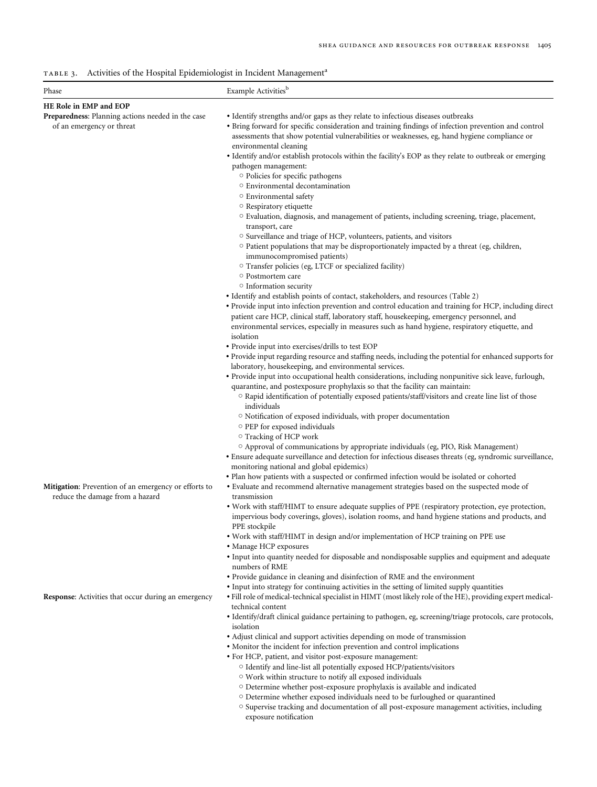<span id="page-12-0"></span>TABLE 3. Activities of the Hospital Epidemiologist in Incident Management<sup>a</sup>

| Phase                                                                                   | Example Activities <sup>b</sup>                                                                                                                                                                                                                                                                                                                                                                                               |
|-----------------------------------------------------------------------------------------|-------------------------------------------------------------------------------------------------------------------------------------------------------------------------------------------------------------------------------------------------------------------------------------------------------------------------------------------------------------------------------------------------------------------------------|
| HE Role in EMP and EOP                                                                  |                                                                                                                                                                                                                                                                                                                                                                                                                               |
| Preparedness: Planning actions needed in the case<br>of an emergency or threat          | • Identify strengths and/or gaps as they relate to infectious diseases outbreaks<br>• Bring forward for specific consideration and training findings of infection prevention and control<br>assessments that show potential vulnerabilities or weaknesses, eg, hand hygiene compliance or<br>environmental cleaning<br>• Identify and/or establish protocols within the facility's EOP as they relate to outbreak or emerging |
|                                                                                         | pathogen management:<br>$\circ$ Policies for specific pathogens<br>○ Environmental decontamination<br><sup>O</sup> Environmental safety                                                                                                                                                                                                                                                                                       |
|                                                                                         | $\circ$ Respiratory etiquette<br>$\circ$ Evaluation, diagnosis, and management of patients, including screening, triage, placement,<br>transport, care                                                                                                                                                                                                                                                                        |
|                                                                                         | ○ Surveillance and triage of HCP, volunteers, patients, and visitors<br>O Patient populations that may be disproportionately impacted by a threat (eg, children,<br>immunocompromised patients)                                                                                                                                                                                                                               |
|                                                                                         | ○ Transfer policies (eg, LTCF or specialized facility)<br>○ Postmortem care<br><sup>o</sup> Information security                                                                                                                                                                                                                                                                                                              |
|                                                                                         | • Identify and establish points of contact, stakeholders, and resources (Table 2)                                                                                                                                                                                                                                                                                                                                             |
|                                                                                         | • Provide input into infection prevention and control education and training for HCP, including direct<br>patient care HCP, clinical staff, laboratory staff, housekeeping, emergency personnel, and<br>environmental services, especially in measures such as hand hygiene, respiratory etiquette, and                                                                                                                       |
|                                                                                         | isolation                                                                                                                                                                                                                                                                                                                                                                                                                     |
|                                                                                         | • Provide input into exercises/drills to test EOP<br>• Provide input regarding resource and staffing needs, including the potential for enhanced supports for                                                                                                                                                                                                                                                                 |
|                                                                                         | laboratory, housekeeping, and environmental services.                                                                                                                                                                                                                                                                                                                                                                         |
|                                                                                         | • Provide input into occupational health considerations, including nonpunitive sick leave, furlough,<br>quarantine, and postexposure prophylaxis so that the facility can maintain:                                                                                                                                                                                                                                           |
|                                                                                         | ○ Rapid identification of potentially exposed patients/staff/visitors and create line list of those<br>individuals<br><sup>o</sup> Notification of exposed individuals, with proper documentation                                                                                                                                                                                                                             |
|                                                                                         | ○ PEP for exposed individuals<br>$\circ$ Tracking of HCP work                                                                                                                                                                                                                                                                                                                                                                 |
|                                                                                         | O Approval of communications by appropriate individuals (eg, PIO, Risk Management)                                                                                                                                                                                                                                                                                                                                            |
|                                                                                         | • Ensure adequate surveillance and detection for infectious diseases threats (eg, syndromic surveillance,<br>monitoring national and global epidemics)<br>· Plan how patients with a suspected or confirmed infection would be isolated or cohorted                                                                                                                                                                           |
| Mitigation: Prevention of an emergency or efforts to<br>reduce the damage from a hazard | • Evaluate and recommend alternative management strategies based on the suspected mode of<br>transmission                                                                                                                                                                                                                                                                                                                     |
|                                                                                         | • Work with staff/HIMT to ensure adequate supplies of PPE (respiratory protection, eye protection,<br>impervious body coverings, gloves), isolation rooms, and hand hygiene stations and products, and<br>PPE stockpile                                                                                                                                                                                                       |
|                                                                                         | • Work with staff/HIMT in design and/or implementation of HCP training on PPE use<br>• Manage HCP exposures                                                                                                                                                                                                                                                                                                                   |
|                                                                                         | · Input into quantity needed for disposable and nondisposable supplies and equipment and adequate<br>numbers of RME                                                                                                                                                                                                                                                                                                           |
|                                                                                         | • Provide guidance in cleaning and disinfection of RME and the environment<br>• Input into strategy for continuing activities in the setting of limited supply quantities                                                                                                                                                                                                                                                     |
| Response: Activities that occur during an emergency                                     | • Fill role of medical-technical specialist in HIMT (most likely role of the HE), providing expert medical-<br>technical content                                                                                                                                                                                                                                                                                              |
|                                                                                         | • Identify/draft clinical guidance pertaining to pathogen, eg, screening/triage protocols, care protocols,<br>isolation                                                                                                                                                                                                                                                                                                       |
|                                                                                         | • Adjust clinical and support activities depending on mode of transmission<br>• Monitor the incident for infection prevention and control implications                                                                                                                                                                                                                                                                        |
|                                                                                         | · For HCP, patient, and visitor post-exposure management:                                                                                                                                                                                                                                                                                                                                                                     |
|                                                                                         | O Identify and line-list all potentially exposed HCP/patients/visitors                                                                                                                                                                                                                                                                                                                                                        |
|                                                                                         | $\circ$ Work within structure to notify all exposed individuals                                                                                                                                                                                                                                                                                                                                                               |
|                                                                                         | O Determine whether post-exposure prophylaxis is available and indicated<br>O Determine whether exposed individuals need to be furloughed or quarantined                                                                                                                                                                                                                                                                      |
|                                                                                         | ○ Supervise tracking and documentation of all post-exposure management activities, including<br>exposure notification                                                                                                                                                                                                                                                                                                         |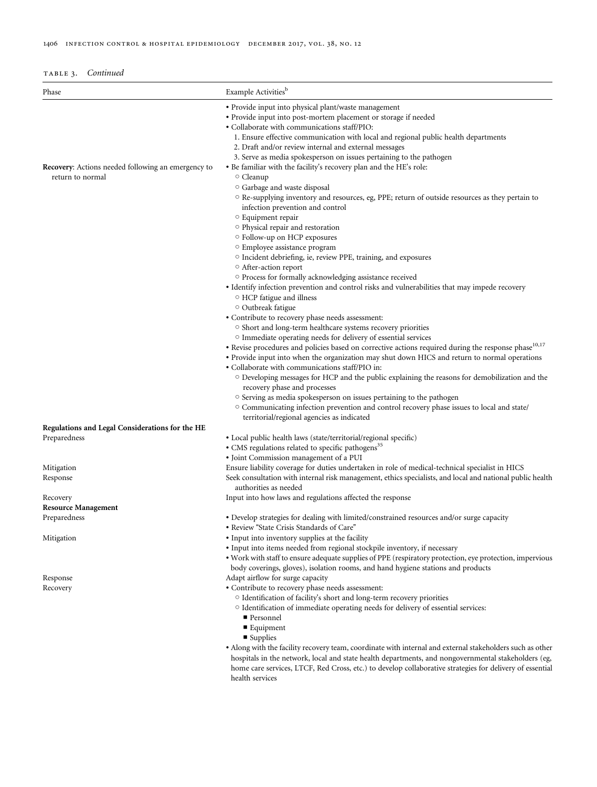| TABLE 3. | Continued |
|----------|-----------|

| Phase                                                                         | Example Activities <sup>b</sup>                                                                                                                  |
|-------------------------------------------------------------------------------|--------------------------------------------------------------------------------------------------------------------------------------------------|
|                                                                               | • Provide input into physical plant/waste management                                                                                             |
|                                                                               | • Provide input into post-mortem placement or storage if needed                                                                                  |
|                                                                               | • Collaborate with communications staff/PIO:                                                                                                     |
|                                                                               | 1. Ensure effective communication with local and regional public health departments                                                              |
|                                                                               | 2. Draft and/or review internal and external messages                                                                                            |
|                                                                               | 3. Serve as media spokesperson on issues pertaining to the pathogen                                                                              |
| <b>Recovery:</b> Actions needed following an emergency to<br>return to normal | • Be familiar with the facility's recovery plan and the HE's role:<br>○ Cleanup                                                                  |
|                                                                               | O Garbage and waste disposal                                                                                                                     |
|                                                                               | $\circ$ Re-supplying inventory and resources, eg, PPE; return of outside resources as they pertain to<br>infection prevention and control        |
|                                                                               | <sup>o</sup> Equipment repair                                                                                                                    |
|                                                                               | <sup>o</sup> Physical repair and restoration                                                                                                     |
|                                                                               | ○ Follow-up on HCP exposures<br>○ Employee assistance program                                                                                    |
|                                                                               | <sup>o</sup> Incident debriefing, ie, review PPE, training, and exposures                                                                        |
|                                                                               | ○ After-action report                                                                                                                            |
|                                                                               | O Process for formally acknowledging assistance received                                                                                         |
|                                                                               | • Identify infection prevention and control risks and vulnerabilities that may impede recovery                                                   |
|                                                                               | O HCP fatigue and illness                                                                                                                        |
|                                                                               | Outbreak fatigue                                                                                                                                 |
|                                                                               | • Contribute to recovery phase needs assessment:                                                                                                 |
|                                                                               | ○ Short and long-term healthcare systems recovery priorities                                                                                     |
|                                                                               | <sup>o</sup> Immediate operating needs for delivery of essential services                                                                        |
|                                                                               | • Revise procedures and policies based on corrective actions required during the response phase <sup>10,17</sup>                                 |
|                                                                               | • Provide input into when the organization may shut down HICS and return to normal operations<br>• Collaborate with communications staff/PIO in: |
|                                                                               |                                                                                                                                                  |
|                                                                               | $\circ$ Developing messages for HCP and the public explaining the reasons for demobilization and the<br>recovery phase and processes             |
|                                                                               | ○ Serving as media spokesperson on issues pertaining to the pathogen                                                                             |
|                                                                               | O Communicating infection prevention and control recovery phase issues to local and state/<br>territorial/regional agencies as indicated         |
| Regulations and Legal Considerations for the HE                               |                                                                                                                                                  |
| Preparedness                                                                  | • Local public health laws (state/territorial/regional specific)                                                                                 |
|                                                                               | • CMS regulations related to specific pathogens <sup>35</sup>                                                                                    |
|                                                                               | · Joint Commission management of a PUI                                                                                                           |
| Mitigation                                                                    | Ensure liability coverage for duties undertaken in role of medical-technical specialist in HICS                                                  |
| Response                                                                      | Seek consultation with internal risk management, ethics specialists, and local and national public health                                        |
|                                                                               | authorities as needed                                                                                                                            |
| Recovery                                                                      | Input into how laws and regulations affected the response                                                                                        |
| <b>Resource Management</b>                                                    |                                                                                                                                                  |
| Preparedness                                                                  | • Develop strategies for dealing with limited/constrained resources and/or surge capacity<br>· Review "State Crisis Standards of Care"           |
| Mitigation                                                                    | • Input into inventory supplies at the facility                                                                                                  |
|                                                                               | • Input into items needed from regional stockpile inventory, if necessary                                                                        |
|                                                                               | • Work with staff to ensure adequate supplies of PPE (respiratory protection, eye protection, impervious                                         |
|                                                                               | body coverings, gloves), isolation rooms, and hand hygiene stations and products                                                                 |
| Response                                                                      | Adapt airflow for surge capacity                                                                                                                 |
| Recovery                                                                      | • Contribute to recovery phase needs assessment:                                                                                                 |
|                                                                               | O Identification of facility's short and long-term recovery priorities                                                                           |
|                                                                               | <sup>o</sup> Identification of immediate operating needs for delivery of essential services:                                                     |
|                                                                               | ■ Personnel                                                                                                                                      |
|                                                                               | ■ Equipment                                                                                                                                      |
|                                                                               | $\blacksquare$ Supplies                                                                                                                          |
|                                                                               | • Along with the facility recovery team, coordinate with internal and external stakeholders such as other                                        |
|                                                                               | hospitals in the network, local and state health departments, and nongovernmental stakeholders (eg,                                              |
|                                                                               | home care services, LTCF, Red Cross, etc.) to develop collaborative strategies for delivery of essential                                         |
|                                                                               |                                                                                                                                                  |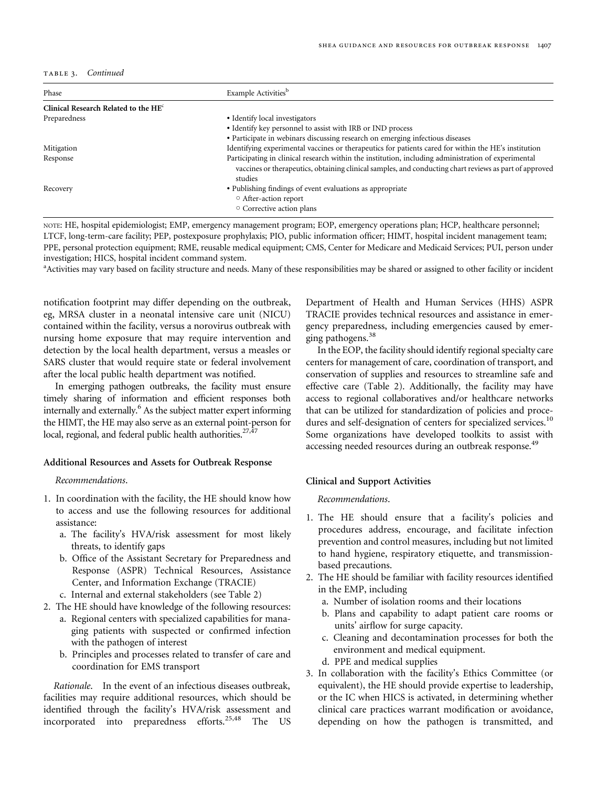TABLE 3. Continued

| Phase                                  | Example Activities <sup>b</sup>                                                                                                                                                                                          |  |  |  |
|----------------------------------------|--------------------------------------------------------------------------------------------------------------------------------------------------------------------------------------------------------------------------|--|--|--|
| Clinical Research Related to the $HEc$ |                                                                                                                                                                                                                          |  |  |  |
| Preparedness                           | • Identify local investigators                                                                                                                                                                                           |  |  |  |
|                                        | • Identify key personnel to assist with IRB or IND process                                                                                                                                                               |  |  |  |
|                                        | • Participate in webinars discussing research on emerging infectious diseases                                                                                                                                            |  |  |  |
| Mitigation                             | Identifying experimental vaccines or therapeutics for patients cared for within the HE's institution                                                                                                                     |  |  |  |
| Response                               | Participating in clinical research within the institution, including administration of experimental<br>vaccines or therapeutics, obtaining clinical samples, and conducting chart reviews as part of approved<br>studies |  |  |  |
| Recovery                               | • Publishing findings of event evaluations as appropriate<br>○ After-action report<br>○ Corrective action plans                                                                                                          |  |  |  |

NOTE: HE, hospital epidemiologist; EMP, emergency management program; EOP, emergency operations plan; HCP, healthcare personnel; LTCF, long-term-care facility; PEP, postexposure prophylaxis; PIO, public information officer; HIMT, hospital incident management team; PPE, personal protection equipment; RME, reusable medical equipment; CMS, Center for Medicare and Medicaid Services; PUI, person under investigation; HICS, hospital incident command system.

<sup>a</sup>Activities may vary based on facility structure and needs. Many of these responsibilities may be shared or assigned to other facility or incident

notification footprint may differ depending on the outbreak, eg, MRSA cluster in a neonatal intensive care unit (NICU) contained within the facility, versus a norovirus outbreak with nursing home exposure that may require intervention and detection by the local health department, versus a measles or SARS cluster that would require state or federal involvement after the local public health department was notified.

In emerging pathogen outbreaks, the facility must ensure timely sharing of information and efficient responses both internally and externally.<sup>6</sup> As the subject matter expert informing the HIMT, the HE may also serve as an external point-person for local, regional, and federal public health authorities. $27,47$ 

#### Additional Resources and Assets for Outbreak Response

Recommendations.

- 1. In coordination with the facility, the HE should know how to access and use the following resources for additional assistance:
	- a. The facility's HVA/risk assessment for most likely threats, to identify gaps
	- b. Office of the Assistant Secretary for Preparedness and Response (ASPR) Technical Resources, Assistance Center, and Information Exchange (TRACIE)
	- c. Internal and external stakeholders (see [Table 2\)](#page-6-0)
- 2. The HE should have knowledge of the following resources:
	- a. Regional centers with specialized capabilities for managing patients with suspected or confirmed infection with the pathogen of interest
	- b. Principles and processes related to transfer of care and coordination for EMS transport

Rationale. In the event of an infectious diseases outbreak, facilities may require additional resources, which should be identified through the facility's HVA/risk assessment and incorporated into preparedness efforts.<sup>[25,](#page-22-0)[48](#page-23-0)</sup> The US

Department of Health and Human Services (HHS) ASPR TRACIE provides technical resources and assistance in emergency preparedness, including emergencies caused by emer-ging pathogens.<sup>[38](#page-22-0)</sup>

In the EOP, the facility should identify regional specialty care centers for management of care, coordination of transport, and conservation of supplies and resources to streamline safe and effective care ([Table 2\)](#page-6-0). Additionally, the facility may have access to regional collaboratives and/or healthcare networks that can be utilized for standardization of policies and procedures and self-designation of centers for specialized services.<sup>10</sup> Some organizations have developed toolkits to assist with accessing needed resources during an outbreak response.<sup>[49](#page-23-0)</sup>

#### Clinical and Support Activities

Recommendations.

- 1. The HE should ensure that a facility's policies and procedures address, encourage, and facilitate infection prevention and control measures, including but not limited to hand hygiene, respiratory etiquette, and transmissionbased precautions.
- 2. The HE should be familiar with facility resources identified in the EMP, including
	- a. Number of isolation rooms and their locations
	- b. Plans and capability to adapt patient care rooms or units' airflow for surge capacity.
	- c. Cleaning and decontamination processes for both the environment and medical equipment.
	- d. PPE and medical supplies
- 3. In collaboration with the facility's Ethics Committee (or equivalent), the HE should provide expertise to leadership, or the IC when HICS is activated, in determining whether clinical care practices warrant modification or avoidance, depending on how the pathogen is transmitted, and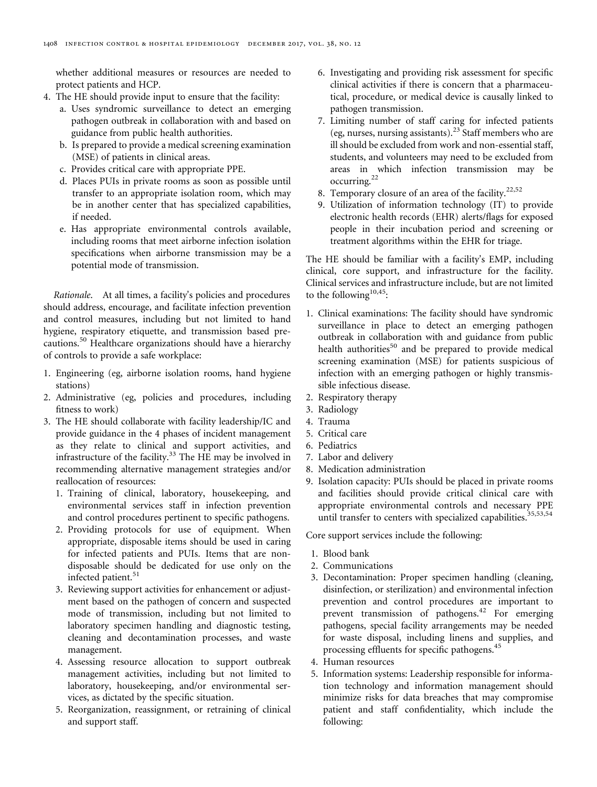whether additional measures or resources are needed to protect patients and HCP.

- 4. The HE should provide input to ensure that the facility:
	- a. Uses syndromic surveillance to detect an emerging pathogen outbreak in collaboration with and based on guidance from public health authorities.
	- b. Is prepared to provide a medical screening examination (MSE) of patients in clinical areas.
	- c. Provides critical care with appropriate PPE.
	- d. Places PUIs in private rooms as soon as possible until transfer to an appropriate isolation room, which may be in another center that has specialized capabilities, if needed.
	- e. Has appropriate environmental controls available, including rooms that meet airborne infection isolation specifications when airborne transmission may be a potential mode of transmission.

Rationale. At all times, a facility's policies and procedures should address, encourage, and facilitate infection prevention and control measures, including but not limited to hand hygiene, respiratory etiquette, and transmission based pre-cautions.<sup>[50](#page-23-0)</sup> Healthcare organizations should have a hierarchy of controls to provide a safe workplace:

- 1. Engineering (eg, airborne isolation rooms, hand hygiene stations)
- 2. Administrative (eg, policies and procedures, including fitness to work)
- 3. The HE should collaborate with facility leadership/IC and provide guidance in the 4 phases of incident management as they relate to clinical and support activities, and infrastructure of the facility. $33$  The HE may be involved in recommending alternative management strategies and/or reallocation of resources:
	- 1. Training of clinical, laboratory, housekeeping, and environmental services staff in infection prevention and control procedures pertinent to specific pathogens.
	- 2. Providing protocols for use of equipment. When appropriate, disposable items should be used in caring for infected patients and PUIs. Items that are nondisposable should be dedicated for use only on the infected patient.<sup>[51](#page-23-0)</sup>
	- 3. Reviewing support activities for enhancement or adjustment based on the pathogen of concern and suspected mode of transmission, including but not limited to laboratory specimen handling and diagnostic testing, cleaning and decontamination processes, and waste management.
	- 4. Assessing resource allocation to support outbreak management activities, including but not limited to laboratory, housekeeping, and/or environmental services, as dictated by the specific situation.
	- 5. Reorganization, reassignment, or retraining of clinical and support staff.
- 6. Investigating and providing risk assessment for specific clinical activities if there is concern that a pharmaceutical, procedure, or medical device is causally linked to pathogen transmission.
- 7. Limiting number of staff caring for infected patients (eg, nurses, nursing assistants).[23](#page-22-0) Staff members who are ill should be excluded from work and non-essential staff, students, and volunteers may need to be excluded from areas in which infection transmission may be occurring.<sup>[22](#page-22-0)</sup>
- 8. Temporary closure of an area of the facility.<sup>[22,](#page-22-0)[52](#page-23-0)</sup>
- 9. Utilization of information technology (IT) to provide electronic health records (EHR) alerts/flags for exposed people in their incubation period and screening or treatment algorithms within the EHR for triage.

The HE should be familiar with a facility's EMP, including clinical, core support, and infrastructure for the facility. Clinical services and infrastructure include, but are not limited to the following<sup>[10,](#page-21-0)45</sup>:

- 1. Clinical examinations: The facility should have syndromic surveillance in place to detect an emerging pathogen outbreak in collaboration with and guidance from public health authorities<sup>[50](#page-23-0)</sup> and be prepared to provide medical screening examination (MSE) for patients suspicious of infection with an emerging pathogen or highly transmissible infectious disease.
- 2. Respiratory therapy
- 3. Radiology
- 4. Trauma
- 5. Critical care
- 6. Pediatrics
- 7. Labor and delivery
- 8. Medication administration
- 9. Isolation capacity: PUIs should be placed in private rooms and facilities should provide critical clinical care with appropriate environmental controls and necessary PPE until transfer to centers with specialized capabilities.<sup>[35,](#page-22-0)[53,54](#page-23-0)</sup>

Core support services include the following:

- 1. Blood bank
- 2. Communications
- 3. Decontamination: Proper specimen handling (cleaning, disinfection, or sterilization) and environmental infection prevention and control procedures are important to prevent transmission of pathogens.[42](#page-22-0) For emerging pathogens, special facility arrangements may be needed for waste disposal, including linens and supplies, and processing effluents for specific pathogens.<sup>[45](#page-22-0)</sup>
- 4. Human resources
- 5. Information systems: Leadership responsible for information technology and information management should minimize risks for data breaches that may compromise patient and staff confidentiality, which include the following: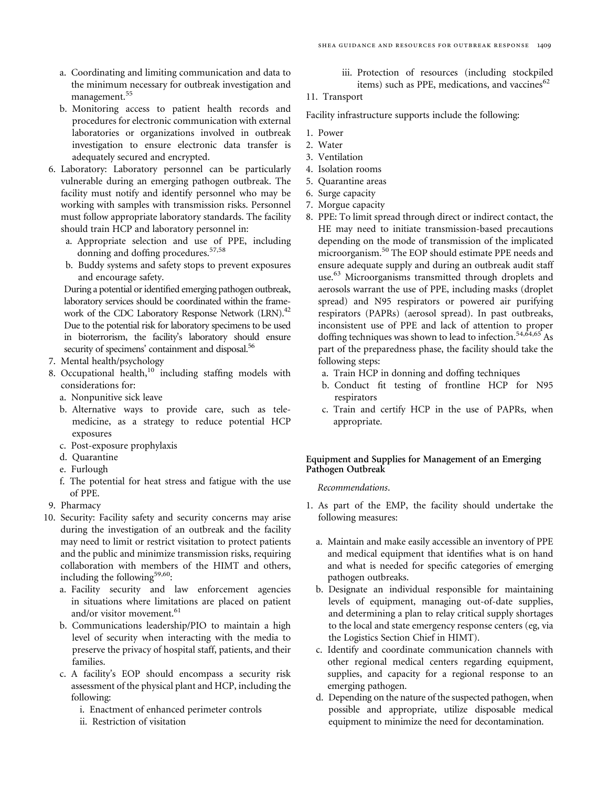- a. Coordinating and limiting communication and data to the minimum necessary for outbreak investigation and management.<sup>[55](#page-23-0)</sup>
- b. Monitoring access to patient health records and procedures for electronic communication with external laboratories or organizations involved in outbreak investigation to ensure electronic data transfer is adequately secured and encrypted.
- 6. Laboratory: Laboratory personnel can be particularly vulnerable during an emerging pathogen outbreak. The facility must notify and identify personnel who may be working with samples with transmission risks. Personnel must follow appropriate laboratory standards. The facility should train HCP and laboratory personnel in:
	- a. Appropriate selection and use of PPE, including donning and doffing procedures.<sup>[57,58](#page-23-0)</sup>
	- b. Buddy systems and safety stops to prevent exposures and encourage safety.

During a potential or identified emerging pathogen outbreak, laboratory services should be coordinated within the frame-work of the CDC Laboratory Response Network (LRN).<sup>[42](#page-22-0)</sup> Due to the potential risk for laboratory specimens to be used in bioterrorism, the facility's laboratory should ensure security of specimens' containment and disposal.<sup>[56](#page-23-0)</sup>

- 7. Mental health/psychology
- 8. Occupational health, $10$  including staffing models with considerations for:
	- a. Nonpunitive sick leave
	- b. Alternative ways to provide care, such as telemedicine, as a strategy to reduce potential HCP exposures
	- c. Post-exposure prophylaxis
	- d. Quarantine
	- e. Furlough
	- f. The potential for heat stress and fatigue with the use of PPE.
- 9. Pharmacy
- 10. Security: Facility safety and security concerns may arise during the investigation of an outbreak and the facility may need to limit or restrict visitation to protect patients and the public and minimize transmission risks, requiring collaboration with members of the HIMT and others, including the following<sup>[59,60](#page-23-0)</sup>:
	- a. Facility security and law enforcement agencies in situations where limitations are placed on patient and/or visitor movement.<sup>[61](#page-23-0)</sup>
	- b. Communications leadership/PIO to maintain a high level of security when interacting with the media to preserve the privacy of hospital staff, patients, and their families.
	- c. A facility's EOP should encompass a security risk assessment of the physical plant and HCP, including the following:
		- i. Enactment of enhanced perimeter controls
		- ii. Restriction of visitation

iii. Protection of resources (including stockpiled items) such as PPE, medications, and vaccines $62$ 

# 11. Transport

Facility infrastructure supports include the following:

- 1. Power
- 2. Water
- 3. Ventilation
- 4. Isolation rooms
- 5. Quarantine areas
- 6. Surge capacity
- 7. Morgue capacity
- 8. PPE: To limit spread through direct or indirect contact, the HE may need to initiate transmission-based precautions depending on the mode of transmission of the implicated microorganism.<sup>[50](#page-23-0)</sup> The EOP should estimate PPE needs and ensure adequate supply and during an outbreak audit staff use.<sup>[63](#page-23-0)</sup> Microorganisms transmitted through droplets and aerosols warrant the use of PPE, including masks (droplet spread) and N95 respirators or powered air purifying respirators (PAPRs) (aerosol spread). In past outbreaks, inconsistent use of PPE and lack of attention to proper doffing techniques was shown to lead to infection.<sup>[54,64,65](#page-23-0)</sup> As part of the preparedness phase, the facility should take the following steps:
	- a. Train HCP in donning and doffing techniques
	- b. Conduct fit testing of frontline HCP for N95 respirators
	- c. Train and certify HCP in the use of PAPRs, when appropriate.

## Equipment and Supplies for Management of an Emerging Pathogen Outbreak

### Recommendations.

- 1. As part of the EMP, the facility should undertake the following measures:
	- a. Maintain and make easily accessible an inventory of PPE and medical equipment that identifies what is on hand and what is needed for specific categories of emerging pathogen outbreaks.
	- b. Designate an individual responsible for maintaining levels of equipment, managing out-of-date supplies, and determining a plan to relay critical supply shortages to the local and state emergency response centers (eg, via the Logistics Section Chief in HIMT).
	- c. Identify and coordinate communication channels with other regional medical centers regarding equipment, supplies, and capacity for a regional response to an emerging pathogen.
	- d. Depending on the nature of the suspected pathogen, when possible and appropriate, utilize disposable medical equipment to minimize the need for decontamination.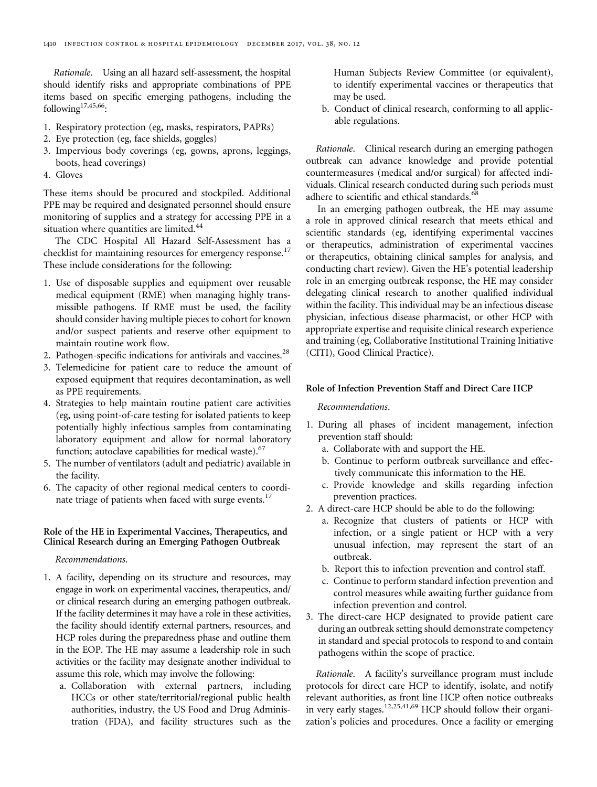Rationale. Using an all hazard self-assessment, the hospital should identify risks and appropriate combinations of PPE items based on specific emerging pathogens, including the following $17,45,66$  $17,45,66$  $17,45,66$ :

- 1. Respiratory protection (eg, masks, respirators, PAPRs)
- 2. Eye protection (eg, face shields, goggles)
- 3. Impervious body coverings (eg, gowns, aprons, leggings, boots, head coverings)
- 4. Gloves

These items should be procured and stockpiled. Additional PPE may be required and designated personnel should ensure monitoring of supplies and a strategy for accessing PPE in a situation where quantities are limited.<sup>[44](#page-22-0)</sup>

The CDC Hospital All Hazard Self-Assessment has a checklist for maintaining resources for emergency response.<sup>[17](#page-21-0)</sup> These include considerations for the following:

- 1. Use of disposable supplies and equipment over reusable medical equipment (RME) when managing highly transmissible pathogens. If RME must be used, the facility should consider having multiple pieces to cohort for known and/or suspect patients and reserve other equipment to maintain routine work flow.
- 2. Pathogen-specific indications for antivirals and vaccines. $^{28}$  $^{28}$  $^{28}$
- 3. Telemedicine for patient care to reduce the amount of exposed equipment that requires decontamination, as well as PPE requirements.
- 4. Strategies to help maintain routine patient care activities (eg, using point-of-care testing for isolated patients to keep potentially highly infectious samples from contaminating laboratory equipment and allow for normal laboratory function; autoclave capabilities for medical waste). $67$
- 5. The number of ventilators (adult and pediatric) available in the facility.
- 6. The capacity of other regional medical centers to coordi-nate triage of patients when faced with surge events.<sup>[17](#page-21-0)</sup>

# Role of the HE in Experimental Vaccines, Therapeutics, and Clinical Research during an Emerging Pathogen Outbreak

Recommendations.

- 1. A facility, depending on its structure and resources, may engage in work on experimental vaccines, therapeutics, and/ or clinical research during an emerging pathogen outbreak. If the facility determines it may have a role in these activities, the facility should identify external partners, resources, and HCP roles during the preparedness phase and outline them in the EOP. The HE may assume a leadership role in such activities or the facility may designate another individual to assume this role, which may involve the following:
	- a. Collaboration with external partners, including HCCs or other state/territorial/regional public health authorities, industry, the US Food and Drug Administration (FDA), and facility structures such as the

Human Subjects Review Committee (or equivalent), to identify experimental vaccines or therapeutics that may be used.

b. Conduct of clinical research, conforming to all applicable regulations.

Rationale. Clinical research during an emerging pathogen outbreak can advance knowledge and provide potential countermeasures (medical and/or surgical) for affected individuals. Clinical research conducted during such periods must adhere to scientific and ethical standards.<sup>[68](#page-23-0)</sup>

In an emerging pathogen outbreak, the HE may assume a role in approved clinical research that meets ethical and scientific standards (eg, identifying experimental vaccines or therapeutics, administration of experimental vaccines or therapeutics, obtaining clinical samples for analysis, and conducting chart review). Given the HE's potential leadership role in an emerging outbreak response, the HE may consider delegating clinical research to another qualified individual within the facility. This individual may be an infectious disease physician, infectious disease pharmacist, or other HCP with appropriate expertise and requisite clinical research experience and training (eg, Collaborative Institutional Training Initiative (CITI), Good Clinical Practice).

# Role of Infection Prevention Staff and Direct Care HCP

# Recommendations.

- 1. During all phases of incident management, infection prevention staff should:
	- a. Collaborate with and support the HE.
	- b. Continue to perform outbreak surveillance and effectively communicate this information to the HE.
	- c. Provide knowledge and skills regarding infection prevention practices.
- 2. A direct-care HCP should be able to do the following:
	- a. Recognize that clusters of patients or HCP with infection, or a single patient or HCP with a very unusual infection, may represent the start of an outbreak.
	- b. Report this to infection prevention and control staff.
	- c. Continue to perform standard infection prevention and control measures while awaiting further guidance from infection prevention and control.
- 3. The direct-care HCP designated to provide patient care during an outbreak setting should demonstrate competency in standard and special protocols to respond to and contain pathogens within the scope of practice.

Rationale. A facility's surveillance program must include protocols for direct care HCP to identify, isolate, and notify relevant authorities, as front line HCP often notice outbreaks in very early stages.<sup>[12](#page-21-0)[,25,41](#page-22-0)[,69](#page-23-0)</sup> HCP should follow their organization's policies and procedures. Once a facility or emerging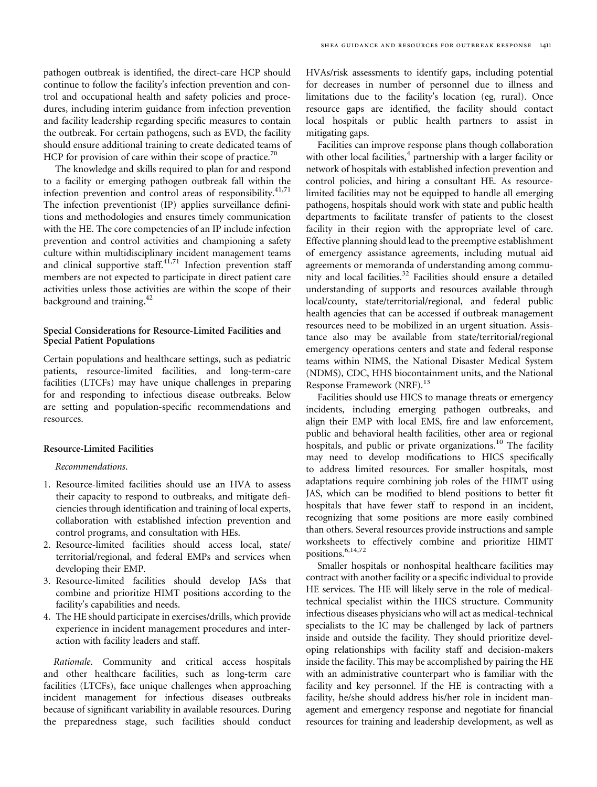pathogen outbreak is identified, the direct-care HCP should continue to follow the facility's infection prevention and control and occupational health and safety policies and procedures, including interim guidance from infection prevention and facility leadership regarding specific measures to contain the outbreak. For certain pathogens, such as EVD, the facility should ensure additional training to create dedicated teams of HCP for provision of care within their scope of practice.<sup>[70](#page-23-0)</sup>

The knowledge and skills required to plan for and respond to a facility or emerging pathogen outbreak fall within the infection prevention and control areas of responsibility.<sup>[41](#page-22-0)[,71](#page-23-0)</sup> The infection preventionist (IP) applies surveillance definitions and methodologies and ensures timely communication with the HE. The core competencies of an IP include infection prevention and control activities and championing a safety culture within multidisciplinary incident management teams and clinical supportive staff. $4^{1,71}$  $4^{1,71}$  $4^{1,71}$  Infection prevention staff members are not expected to participate in direct patient care activities unless those activities are within the scope of their background and training.<sup>[42](#page-22-0)</sup>

## Special Considerations for Resource-Limited Facilities and Special Patient Populations

Certain populations and healthcare settings, such as pediatric patients, resource-limited facilities, and long-term-care facilities (LTCFs) may have unique challenges in preparing for and responding to infectious disease outbreaks. Below are setting and population-specific recommendations and resources.

# Resource-Limited Facilities

Recommendations.

- 1. Resource-limited facilities should use an HVA to assess their capacity to respond to outbreaks, and mitigate deficiencies through identification and training of local experts, collaboration with established infection prevention and control programs, and consultation with HEs.
- 2. Resource-limited facilities should access local, state/ territorial/regional, and federal EMPs and services when developing their EMP.
- 3. Resource-limited facilities should develop JASs that combine and prioritize HIMT positions according to the facility's capabilities and needs.
- 4. The HE should participate in exercises/drills, which provide experience in incident management procedures and interaction with facility leaders and staff.

Rationale. Community and critical access hospitals and other healthcare facilities, such as long-term care facilities (LTCFs), face unique challenges when approaching incident management for infectious diseases outbreaks because of significant variability in available resources. During the preparedness stage, such facilities should conduct HVAs/risk assessments to identify gaps, including potential for decreases in number of personnel due to illness and limitations due to the facility's location (eg, rural). Once resource gaps are identified, the facility should contact local hospitals or public health partners to assist in mitigating gaps.

Facilities can improve response plans though collaboration with other local facilities, $4$  partnership with a larger facility or network of hospitals with established infection prevention and control policies, and hiring a consultant HE. As resourcelimited facilities may not be equipped to handle all emerging pathogens, hospitals should work with state and public health departments to facilitate transfer of patients to the closest facility in their region with the appropriate level of care. Effective planning should lead to the preemptive establishment of emergency assistance agreements, including mutual aid agreements or memoranda of understanding among commu-nity and local facilities.<sup>[32](#page-22-0)</sup> Facilities should ensure a detailed understanding of supports and resources available through local/county, state/territorial/regional, and federal public health agencies that can be accessed if outbreak management resources need to be mobilized in an urgent situation. Assistance also may be available from state/territorial/regional emergency operations centers and state and federal response teams within NIMS, the National Disaster Medical System (NDMS), CDC, HHS biocontainment units, and the National Response Framework (NRF).<sup>[13](#page-21-0)</sup>

Facilities should use HICS to manage threats or emergency incidents, including emerging pathogen outbreaks, and align their EMP with local EMS, fire and law enforcement, public and behavioral health facilities, other area or regional hospitals, and public or private organizations.<sup>[10](#page-21-0)</sup> The facility may need to develop modifications to HICS specifically to address limited resources. For smaller hospitals, most adaptations require combining job roles of the HIMT using JAS, which can be modified to blend positions to better fit hospitals that have fewer staff to respond in an incident, recognizing that some positions are more easily combined than others. Several resources provide instructions and sample worksheets to effectively combine and prioritize HIMT positions.<sup>[6,14](#page-21-0)[,72](#page-23-0)</sup>

Smaller hospitals or nonhospital healthcare facilities may contract with another facility or a specific individual to provide HE services. The HE will likely serve in the role of medicaltechnical specialist within the HICS structure. Community infectious diseases physicians who will act as medical-technical specialists to the IC may be challenged by lack of partners inside and outside the facility. They should prioritize developing relationships with facility staff and decision-makers inside the facility. This may be accomplished by pairing the HE with an administrative counterpart who is familiar with the facility and key personnel. If the HE is contracting with a facility, he/she should address his/her role in incident management and emergency response and negotiate for financial resources for training and leadership development, as well as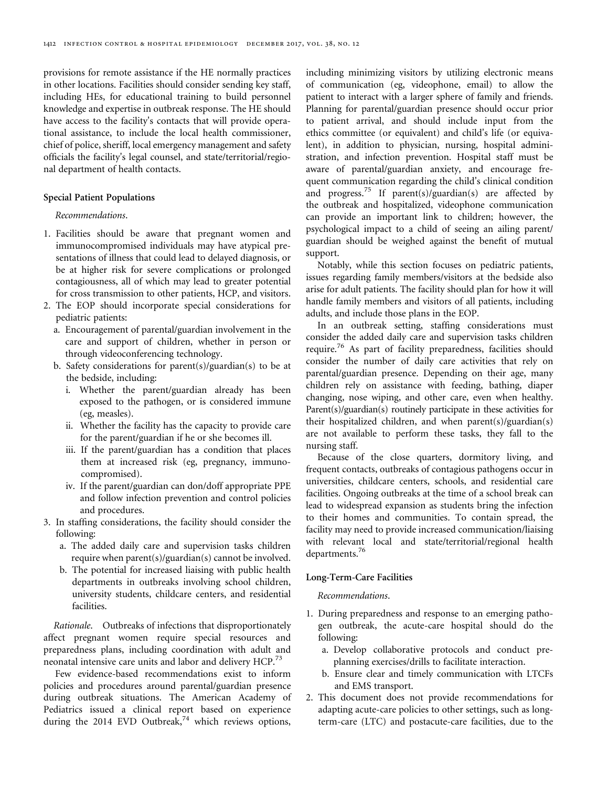provisions for remote assistance if the HE normally practices in other locations. Facilities should consider sending key staff, including HEs, for educational training to build personnel knowledge and expertise in outbreak response. The HE should have access to the facility's contacts that will provide operational assistance, to include the local health commissioner, chief of police, sheriff, local emergency management and safety officials the facility's legal counsel, and state/territorial/regional department of health contacts.

## Special Patient Populations

# Recommendations.

- 1. Facilities should be aware that pregnant women and immunocompromised individuals may have atypical presentations of illness that could lead to delayed diagnosis, or be at higher risk for severe complications or prolonged contagiousness, all of which may lead to greater potential for cross transmission to other patients, HCP, and visitors.
- 2. The EOP should incorporate special considerations for pediatric patients:
	- a. Encouragement of parental/guardian involvement in the care and support of children, whether in person or through videoconferencing technology.
	- b. Safety considerations for parent(s)/guardian(s) to be at the bedside, including:
		- i. Whether the parent/guardian already has been exposed to the pathogen, or is considered immune (eg, measles).
		- ii. Whether the facility has the capacity to provide care for the parent/guardian if he or she becomes ill.
		- iii. If the parent/guardian has a condition that places them at increased risk (eg, pregnancy, immunocompromised).
		- iv. If the parent/guardian can don/doff appropriate PPE and follow infection prevention and control policies and procedures.
- 3. In staffing considerations, the facility should consider the following:
	- a. The added daily care and supervision tasks children require when parent(s)/guardian(s) cannot be involved.
	- b. The potential for increased liaising with public health departments in outbreaks involving school children, university students, childcare centers, and residential facilities.

Rationale. Outbreaks of infections that disproportionately affect pregnant women require special resources and preparedness plans, including coordination with adult and neonatal intensive care units and labor and delivery HCP.<sup>[73](#page-23-0)</sup>

Few evidence-based recommendations exist to inform policies and procedures around parental/guardian presence during outbreak situations. The American Academy of Pediatrics issued a clinical report based on experience during the 2014 EVD Outbreak, $74$  which reviews options,

including minimizing visitors by utilizing electronic means of communication (eg, videophone, email) to allow the patient to interact with a larger sphere of family and friends. Planning for parental/guardian presence should occur prior to patient arrival, and should include input from the ethics committee (or equivalent) and child's life (or equivalent), in addition to physician, nursing, hospital administration, and infection prevention. Hospital staff must be aware of parental/guardian anxiety, and encourage frequent communication regarding the child's clinical condition and progress.<sup>[75](#page-23-0)</sup> If parent(s)/guardian(s) are affected by the outbreak and hospitalized, videophone communication can provide an important link to children; however, the psychological impact to a child of seeing an ailing parent/ guardian should be weighed against the benefit of mutual support.

Notably, while this section focuses on pediatric patients, issues regarding family members/visitors at the bedside also arise for adult patients. The facility should plan for how it will handle family members and visitors of all patients, including adults, and include those plans in the EOP.

In an outbreak setting, staffing considerations must consider the added daily care and supervision tasks children require.<sup>[76](#page-23-0)</sup> As part of facility preparedness, facilities should consider the number of daily care activities that rely on parental/guardian presence. Depending on their age, many children rely on assistance with feeding, bathing, diaper changing, nose wiping, and other care, even when healthy. Parent(s)/guardian(s) routinely participate in these activities for their hospitalized children, and when parent(s)/guardian(s) are not available to perform these tasks, they fall to the nursing staff.

Because of the close quarters, dormitory living, and frequent contacts, outbreaks of contagious pathogens occur in universities, childcare centers, schools, and residential care facilities. Ongoing outbreaks at the time of a school break can lead to widespread expansion as students bring the infection to their homes and communities. To contain spread, the facility may need to provide increased communication/liaising with relevant local and state/territorial/regional health departments.<sup>[76](#page-23-0)</sup>

# Long-Term-Care Facilities

## Recommendations.

- 1. During preparedness and response to an emerging pathogen outbreak, the acute-care hospital should do the following:
	- a. Develop collaborative protocols and conduct preplanning exercises/drills to facilitate interaction.
	- b. Ensure clear and timely communication with LTCFs and EMS transport.
- 2. This document does not provide recommendations for adapting acute-care policies to other settings, such as longterm-care (LTC) and postacute-care facilities, due to the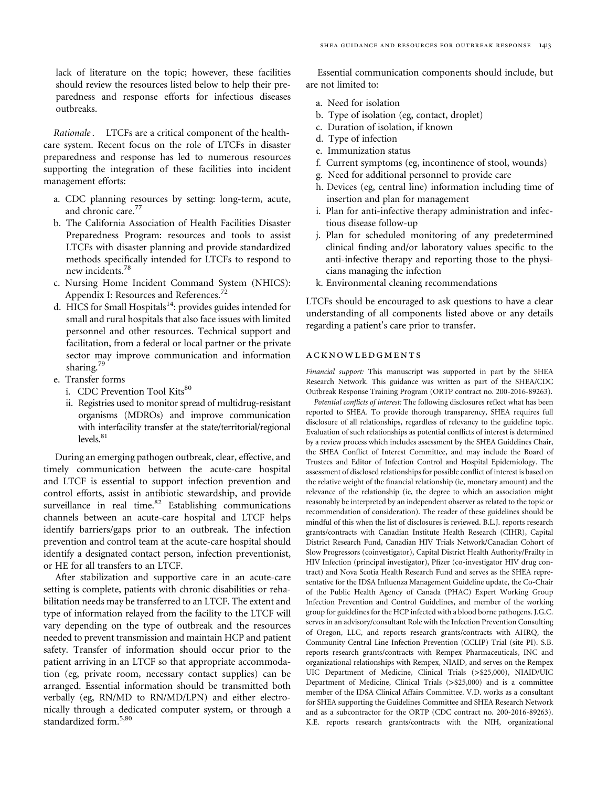lack of literature on the topic; however, these facilities should review the resources listed below to help their preparedness and response efforts for infectious diseases outbreaks.

Rationale. LTCFs are a critical component of the healthcare system. Recent focus on the role of LTCFs in disaster preparedness and response has led to numerous resources supporting the integration of these facilities into incident management efforts:

- a. CDC planning resources by setting: long-term, acute, and chronic care.<sup>[77](#page-23-0)</sup>
- b. The California Association of Health Facilities Disaster Preparedness Program: resources and tools to assist LTCFs with disaster planning and provide standardized methods specifically intended for LTCFs to respond to new incidents[.78](#page-24-0)
- c. Nursing Home Incident Command System (NHICS): Appendix I: Resources and References.<sup>[72](#page-23-0)</sup>
- d. HICS for Small Hospitals $14$ : provides guides intended for small and rural hospitals that also face issues with limited personnel and other resources. Technical support and facilitation, from a federal or local partner or the private sector may improve communication and information sharing.<sup>[79](#page-24-0)</sup>
- e. Transfer forms
	- i. CDC Prevention Tool Kits<sup>[80](#page-24-0)</sup>
	- ii. Registries used to monitor spread of multidrug-resistant organisms (MDROs) and improve communication with interfacility transfer at the state/territorial/regional  $levels<sup>81</sup>$

During an emerging pathogen outbreak, clear, effective, and timely communication between the acute-care hospital and LTCF is essential to support infection prevention and control efforts, assist in antibiotic stewardship, and provide surveillance in real time. $82$  Establishing communications channels between an acute-care hospital and LTCF helps identify barriers/gaps prior to an outbreak. The infection prevention and control team at the acute-care hospital should identify a designated contact person, infection preventionist, or HE for all transfers to an LTCF.

After stabilization and supportive care in an acute-care setting is complete, patients with chronic disabilities or rehabilitation needs may be transferred to an LTCF. The extent and type of information relayed from the facility to the LTCF will vary depending on the type of outbreak and the resources needed to prevent transmission and maintain HCP and patient safety. Transfer of information should occur prior to the patient arriving in an LTCF so that appropriate accommodation (eg, private room, necessary contact supplies) can be arranged. Essential information should be transmitted both verbally (eg, RN/MD to RN/MD/LPN) and either electronically through a dedicated computer system, or through a standardized form.<sup>[5](#page-21-0)[,80](#page-24-0)</sup>

Essential communication components should include, but are not limited to:

- a. Need for isolation
- b. Type of isolation (eg, contact, droplet)
- c. Duration of isolation, if known
- d. Type of infection
- e. Immunization status
- f. Current symptoms (eg, incontinence of stool, wounds)
- g. Need for additional personnel to provide care
- h. Devices (eg, central line) information including time of insertion and plan for management
- i. Plan for anti-infective therapy administration and infectious disease follow-up
- j. Plan for scheduled monitoring of any predetermined clinical finding and/or laboratory values specific to the anti-infective therapy and reporting those to the physicians managing the infection
- k. Environmental cleaning recommendations

LTCFs should be encouraged to ask questions to have a clear understanding of all components listed above or any details regarding a patient's care prior to transfer.

#### acknowledgments

Financial support: This manuscript was supported in part by the SHEA Research Network. This guidance was written as part of the SHEA/CDC Outbreak Response Training Program (ORTP contract no. 200-2016-89263).

Potential conflicts of interest: The following disclosures reflect what has been reported to SHEA. To provide thorough transparency, SHEA requires full disclosure of all relationships, regardless of relevancy to the guideline topic. Evaluation of such relationships as potential conflicts of interest is determined by a review process which includes assessment by the SHEA Guidelines Chair, the SHEA Conflict of Interest Committee, and may include the Board of Trustees and Editor of Infection Control and Hospital Epidemiology. The assessment of disclosed relationships for possible conflict of interest is based on the relative weight of the financial relationship (ie, monetary amount) and the relevance of the relationship (ie, the degree to which an association might reasonably be interpreted by an independent observer as related to the topic or recommendation of consideration). The reader of these guidelines should be mindful of this when the list of disclosures is reviewed. B.L.J. reports research grants/contracts with Canadian Institute Health Research (CIHR), Capital District Research Fund, Canadian HIV Trials Network/Canadian Cohort of Slow Progressors (coinvestigator), Capital District Health Authority/Frailty in HIV Infection (principal investigator), Pfizer (co-investigator HIV drug contract) and Nova Scotia Health Research Fund and serves as the SHEA representative for the IDSA Influenza Management Guideline update, the Co-Chair of the Public Health Agency of Canada (PHAC) Expert Working Group Infection Prevention and Control Guidelines, and member of the working group for guidelines for the HCP infected with a blood borne pathogens. J.G.C. serves in an advisory/consultant Role with the Infection Prevention Consulting of Oregon, LLC, and reports research grants/contracts with AHRQ, the Community Central Line Infection Prevention (CCLIP) Trial (site PI). S.B. reports research grants/contracts with Rempex Pharmaceuticals, INC and organizational relationships with Rempex, NIAID, and serves on the Rempex UIC Department of Medicine, Clinical Trials (>\$25,000), NIAID/UIC Department of Medicine, Clinical Trials (>\$25,000) and is a committee member of the IDSA Clinical Affairs Committee. V.D. works as a consultant for SHEA supporting the Guidelines Committee and SHEA Research Network and as a subcontractor for the ORTP (CDC contract no. 200-2016-89263). K.E. reports research grants/contracts with the NIH, organizational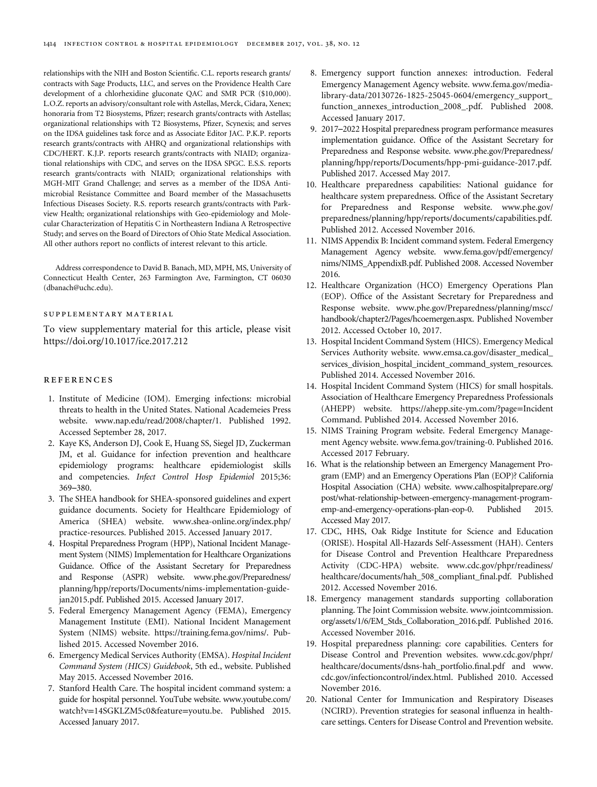<span id="page-21-0"></span>relationships with the NIH and Boston Scientific. C.L. reports research grants/ contracts with Sage Products, LLC, and serves on the Providence Health Care development of a chlorhexidine gluconate QAC and SMR PCR (\$10,000). L.O.Z. reports an advisory/consultant role with Astellas, Merck, Cidara, Xenex; honoraria from T2 Biosystems, Pfizer; research grants/contracts with Astellas; organizational relationships with T2 Biosystems, Pfizer, Scynexis; and serves on the IDSA guidelines task force and as Associate Editor JAC. P.K.P. reports research grants/contracts with AHRQ and organizational relationships with CDC/HERT. K.J.P. reports research grants/contracts with NIAID; organizational relationships with CDC, and serves on the IDSA SPGC. E.S.S. reports research grants/contracts with NIAID; organizational relationships with MGH-MIT Grand Challenge; and serves as a member of the IDSA Antimicrobial Resistance Committee and Board member of the Massachusetts Infectious Diseases Society. R.S. reports research grants/contracts with Parkview Health; organizational relationships with Geo-epidemiology and Molecular Characterization of Hepatitis C in Northeastern Indiana A Retrospective Study; and serves on the Board of Directors of Ohio State Medical Association. All other authors report no conflicts of interest relevant to this article.

Address correspondence to David B. Banach, MD, MPH, MS, University of Connecticut Health Center, 263 Farmington Ave, Farmington, CT 06030 [\(dbanach@uchc.edu\)](mailto:dbanach@uchc.edu).

#### supplementary material

To view supplementary material for this article, please visit <https://doi.org/10.1017/ice.2017.212>

#### references

- 1. Institute of Medicine (IOM). Emerging infections: microbial threats to health in the United States. National Academeies Press website.<www.nap.edu/read/2008/chapter/1>. Published 1992. Accessed September 28, 2017.
- 2. Kaye KS, Anderson DJ, Cook E, Huang SS, Siegel JD, Zuckerman JM, et al. Guidance for infection prevention and healthcare epidemiology programs: healthcare epidemiologist skills and competencies. Infect Control Hosp Epidemiol 2015;36: 369–380.
- 3. The SHEA handbook for SHEA-sponsored guidelines and expert guidance documents. Society for Healthcare Epidemiology of America (SHEA) website. [www.shea-online.org/index.php/](www.shea-online.org/index.php/practice-resources) [practice-resources](www.shea-online.org/index.php/practice-resources). Published 2015. Accessed January 2017.
- 4. Hospital Preparedness Program (HPP), National Incident Management System (NIMS) Implementation for Healthcare Organizations Guidance. Office of the Assistant Secretary for Preparedness and Response (ASPR) website. [www.phe.gov/Preparedness/](www.phe.gov/Preparedness/planning/hpp/reports/Documents/nims-implementation-guide-jan2015.pdf) [planning/hpp/reports/Documents/nims-implementation-guide](www.phe.gov/Preparedness/planning/hpp/reports/Documents/nims-implementation-guide-jan2015.pdf)[jan2015.pdf](www.phe.gov/Preparedness/planning/hpp/reports/Documents/nims-implementation-guide-jan2015.pdf). Published 2015. Accessed January 2017.
- 5. Federal Emergency Management Agency (FEMA), Emergency Management Institute (EMI). National Incident Management System (NIMS) website.<https://training.fema.gov/nims/>. Published 2015. Accessed November 2016.
- 6. Emergency Medical Services Authority (EMSA). Hospital Incident Command System (HICS) Guidebook, 5th ed., website. Published May 2015. Accessed November 2016.
- 7. Stanford Health Care. The hospital incident command system: a guide for hospital personnel. YouTube website. [www.youtube.com/](www.youtube.com/watch?v=14SGKLZM5c0&feature=youtu.be) watch?v=[14SGKLZM5c0&feature](www.youtube.com/watch?v=14SGKLZM5c0&feature=youtu.be)=youtu.be. Published 2015. Accessed January 2017.
- 8. Emergency support function annexes: introduction. Federal Emergency Management Agency website. [www.fema.gov/media](www.fema.gov/media-library-data/20130726-1825-25045-0604/emergency_support_function_annexes_introduction_2008_.pdf)[library-data/20130726-1825-25045-0604/emergency\\_support\\_](www.fema.gov/media-library-data/20130726-1825-25045-0604/emergency_support_function_annexes_introduction_2008_.pdf) [function\\_annexes\\_introduction\\_2008\\_.pdf](www.fema.gov/media-library-data/20130726-1825-25045-0604/emergency_support_function_annexes_introduction_2008_.pdf). Published 2008. Accessed January 2017.
- 9. 2017–2022 Hospital preparedness program performance measures implementation guidance. Office of the Assistant Secretary for Preparedness and Response website. [www.phe.gov/Preparedness/](www.phe.gov/Preparedness/planning/hpp/reports/Documents/hpp-pmi-guidance-2017.pdf) [planning/hpp/reports/Documents/hpp-pmi-guidance-2017.pdf.](www.phe.gov/Preparedness/planning/hpp/reports/Documents/hpp-pmi-guidance-2017.pdf) Published 2017. Accessed May 2017.
- 10. Healthcare preparedness capabilities: National guidance for healthcare system preparedness. Office of the Assistant Secretary for Preparedness and Response website. [www.phe.gov/](www.phe.gov/preparedness/planning/hpp/reports/documents/capabilities.pdf) [preparedness/planning/hpp/reports/documents/capabilities.pdf](www.phe.gov/preparedness/planning/hpp/reports/documents/capabilities.pdf). Published 2012. Accessed November 2016.
- 11. NIMS Appendix B: Incident command system. Federal Emergency Management Agency website. [www.fema.gov/pdf/emergency/](www.fema.gov/pdf/emergency/nims/NIMS_AppendixB.pdf) [nims/NIMS\\_AppendixB.pdf](www.fema.gov/pdf/emergency/nims/NIMS_AppendixB.pdf). Published 2008. Accessed November 2016.
- 12. Healthcare Organization (HCO) Emergency Operations Plan (EOP). Office of the Assistant Secretary for Preparedness and Response website. [www.phe.gov/Preparedness/planning/mscc/](www.phe.gov/Preparedness/planning/mscc/handbook/chapter2/Pages/hcoemergen.aspx) [handbook/chapter2/Pages/hcoemergen.aspx.](www.phe.gov/Preparedness/planning/mscc/handbook/chapter2/Pages/hcoemergen.aspx) Published November 2012. Accessed October 10, 2017.
- 13. Hospital Incident Command System (HICS). Emergency Medical Services Authority website. [www.emsa.ca.gov/disaster\\_medical\\_](www.emsa.ca.gov/disaster_medical_services_division_hospital_incident_command_system_resources) [services\\_division\\_hospital\\_incident\\_command\\_system\\_resources](www.emsa.ca.gov/disaster_medical_services_division_hospital_incident_command_system_resources). Published 2014. Accessed November 2016.
- 14. Hospital Incident Command System (HICS) for small hospitals. Association of Healthcare Emergency Preparedness Professionals (AHEPP) website. [https://ahepp.site-ym.com/?page](https://ahepp.site-ym.com/?page=IncidentCommand)=Incident [Command](https://ahepp.site-ym.com/?page=IncidentCommand). Published 2014. Accessed November 2016.
- 15. NIMS Training Program website. Federal Emergency Management Agency website. [www.fema.gov/training-0.](www.fema.gov/training-0) Published 2016. Accessed 2017 February.
- 16. What is the relationship between an Emergency Management Program (EMP) and an Emergency Operations Plan (EOP)? California Hospital Association (CHA) website. [www.calhospitalprepare.org/](www.calhospitalprepare.org/post/what-relationship-between-emergency-management-program-emp-and-emergency-operations-plan-eop-0) [post/what-relationship-between-emergency-management-program](www.calhospitalprepare.org/post/what-relationship-between-emergency-management-program-emp-and-emergency-operations-plan-eop-0)[emp-and-emergency-operations-plan-eop-0](www.calhospitalprepare.org/post/what-relationship-between-emergency-management-program-emp-and-emergency-operations-plan-eop-0). Published 2015. Accessed May 2017.
- 17. CDC, HHS, Oak Ridge Institute for Science and Education (ORISE). Hospital All-Hazards Self-Assessment (HAH). Centers for Disease Control and Prevention Healthcare Preparedness Activity (CDC-HPA) website. [www.cdc.gov/phpr/readiness/](www.cdc.gov/phpr/readiness/healthcare/documents/hah_508_compliant_final.pdf) [healthcare/documents/hah\\_508\\_compliant\\_](www.cdc.gov/phpr/readiness/healthcare/documents/hah_508_compliant_final.pdf)final.pdf. Published 2012. Accessed November 2016.
- 18. Emergency management standards supporting collaboration planning. The Joint Commission website. [www.jointcommission.](www.jointcommission.org/assets/1/6/EM_Stds_Collaboration_2016.pdf) [org/assets/1/6/EM\\_Stds\\_Collaboration\\_2016.pdf.](www.jointcommission.org/assets/1/6/EM_Stds_Collaboration_2016.pdf) Published 2016. Accessed November 2016.
- 19. Hospital preparedness planning: core capabilities. Centers for Disease Control and Prevention websites. [www.cdc.gov/phpr/](www.cdc.gov/phpr/healthcare/documents/dsns-hah_portfolio.final.pdf) [healthcare/documents/dsns-hah\\_portfolio.](www.cdc.gov/phpr/healthcare/documents/dsns-hah_portfolio.final.pdf)final.pdf and [www.](www.cdc.gov/infectioncontrol/index.html) [cdc.gov/infectioncontrol/index.html.](www.cdc.gov/infectioncontrol/index.html) Published 2010. Accessed November 2016.
- 20. National Center for Immunication and Respiratory Diseases (NCIRD). Prevention strategies for seasonal influenza in healthcare settings. Centers for Disease Control and Prevention website.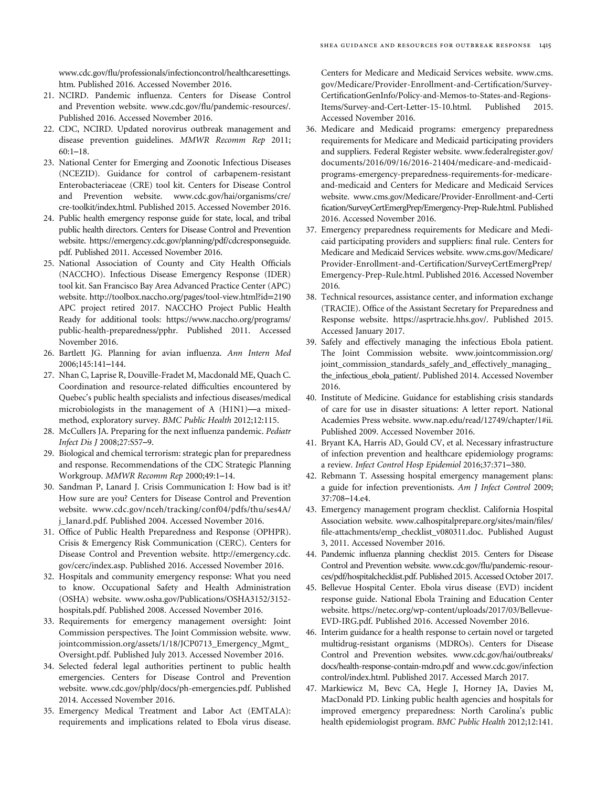<span id="page-22-0"></span>www.cdc.gov/fl[u/professionals/infectioncontrol/healthcaresettings.](www.cdc.gov/flu/professionals/infectioncontrol/healthcaresettings.htm.) [htm.](www.cdc.gov/flu/professionals/infectioncontrol/healthcaresettings.htm.) Published 2016. Accessed November 2016.

- 21. NCIRD. Pandemic influenza. Centers for Disease Control and Prevention website. www.cdc.gov/fl[u/pandemic-resources/](www.cdc.gov/flu/pandemic-resources/). Published 2016. Accessed November 2016.
- 22. CDC, NCIRD. Updated norovirus outbreak management and disease prevention guidelines. MMWR Recomm Rep 2011; 60:1–18.
- 23. National Center for Emerging and Zoonotic Infectious Diseases (NCEZID). Guidance for control of carbapenem-resistant Enterobacteriaceae (CRE) tool kit. Centers for Disease Control and Prevention website. [www.cdc.gov/hai/organisms/cre/](www.cdc.gov/hai/organisms/cre/cre-toolkit/index.html) [cre-toolkit/index.html.](www.cdc.gov/hai/organisms/cre/cre-toolkit/index.html) Published 2015. Accessed November 2016.
- 24. Public health emergency response guide for state, local, and tribal public health directors. Centers for Disease Control and Prevention website. [https://emergency.cdc.gov/planning/pdf/cdcresponseguide.](https://emergency.cdc.gov/planning/pdf/cdcresponseguide.pdf) [pdf](https://emergency.cdc.gov/planning/pdf/cdcresponseguide.pdf). Published 2011. Accessed November 2016.
- 25. National Association of County and City Health Officials (NACCHO). Infectious Disease Emergency Response (IDER) tool kit. San Francisco Bay Area Advanced Practice Center (APC) website. [http://toolbox.naccho.org/pages/tool-view.html?id](http://toolbox.naccho.org/pages/tool-view.html?id=2190)=2190 APC project retired 2017. NACCHO Project Public Health Ready for additional tools: [https://www.naccho.org/programs/](https://www.naccho.org/programs/public-health-preparedness/pphr) [public-health-preparedness/pphr](https://www.naccho.org/programs/public-health-preparedness/pphr). Published 2011. Accessed November 2016.
- 26. Bartlett JG. Planning for avian influenza. Ann Intern Med 2006;145:141–144.
- 27. Nhan C, Laprise R, Douville-Fradet M, Macdonald ME, Quach C. Coordination and resource-related difficulties encountered by Quebec's public health specialists and infectious diseases/medical microbiologists in the management of A (H1N1)—a mixedmethod, exploratory survey. BMC Public Health 2012;12:115.
- 28. McCullers JA. Preparing for the next influenza pandemic. Pediatr Infect Dis J 2008;27:S57–9.
- 29. Biological and chemical terrorism: strategic plan for preparedness and response. Recommendations of the CDC Strategic Planning Workgroup. MMWR Recomm Rep 2000;49:1–14.
- 30. Sandman P, Lanard J. Crisis Communication I: How bad is it? How sure are you? Centers for Disease Control and Prevention website. [www.cdc.gov/nceh/tracking/conf04/pdfs/thu/ses4A/](www.cdc.gov/nceh/tracking/conf04/pdfs/thu/ses4A/j_lanard.pdf) [j\\_lanard.pdf](www.cdc.gov/nceh/tracking/conf04/pdfs/thu/ses4A/j_lanard.pdf). Published 2004. Accessed November 2016.
- 31. Office of Public Health Preparedness and Response (OPHPR). Crisis & Emergency Risk Communication (CERC). Centers for Disease Control and Prevention website. [http://emergency.cdc.](http://emergency.cdc.gov/cerc/index.asp) [gov/cerc/index.asp.](http://emergency.cdc.gov/cerc/index.asp) Published 2016. Accessed November 2016.
- 32. Hospitals and community emergency response: What you need to know. Occupational Safety and Health Administration (OSHA) website. [www.osha.gov/Publications/OSHA3152/3152](www.osha.gov/Publications/OSHA3152�/�3152-hospitals.pdf) [hospitals.pdf](www.osha.gov/Publications/OSHA3152�/�3152-hospitals.pdf). Published 2008. Accessed November 2016.
- 33. Requirements for emergency management oversight: Joint Commission perspectives. The Joint Commission website. [www.](www.jointcommission.org/assets/1�/�18/JCP0713_Emergency_Mgmt_Oversight.pdf) [jointcommission.org/assets/1/18/JCP0713\\_Emergency\\_Mgmt\\_](www.jointcommission.org/assets/1�/�18/JCP0713_Emergency_Mgmt_Oversight.pdf) [Oversight.pdf](www.jointcommission.org/assets/1�/�18/JCP0713_Emergency_Mgmt_Oversight.pdf). Published July 2013. Accessed November 2016.
- 34. Selected federal legal authorities pertinent to public health emergencies. Centers for Disease Control and Prevention website. [www.cdc.gov/phlp/docs/ph-emergencies.pdf.](www.cdc.gov/phlp/docs/ph-emergencies.pdf) Published 2014. Accessed November 2016.
- 35. Emergency Medical Treatment and Labor Act (EMTALA): requirements and implications related to Ebola virus disease.

Centers for Medicare and Medicaid Services website. [www.cms.](www.cms.gov/Medicare/Provider-Enrollment-and-Certification/SurveyCertificationGenInfo/Policy-and-Memos-to-States-and-Regions-Items/Survey-and-Cert-Letter-15-10.html) [gov/Medicare/Provider-Enrollment-and-Certi](www.cms.gov/Medicare/Provider-Enrollment-and-Certification/SurveyCertificationGenInfo/Policy-and-Memos-to-States-and-Regions-Items/Survey-and-Cert-Letter-15-10.html)fication/Survey-Certifi[cationGenInfo/Policy-and-Memos-to-States-and-Regions-](www.cms.gov/Medicare/Provider-Enrollment-and-Certification/SurveyCertificationGenInfo/Policy-and-Memos-to-States-and-Regions-Items/Survey-and-Cert-Letter-15-10.html)[Items/Survey-and-Cert-Letter-15-10.html](www.cms.gov/Medicare/Provider-Enrollment-and-Certification/SurveyCertificationGenInfo/Policy-and-Memos-to-States-and-Regions-Items/Survey-and-Cert-Letter-15-10.html). Published 2015. Accessed November 2016.

- 36. Medicare and Medicaid programs: emergency preparedness requirements for Medicare and Medicaid participating providers and suppliers. Federal Register website. [www.federalregister.gov/](www.federalregister.gov/documents/2016�/�09/16�/�2016-21404/medicare-and-medicaid-programs-emergency-preparedness-requirements-for-medicare-and-medicaid) [documents/2016/09/16/2016-21404/medicare-and-medicaid](www.federalregister.gov/documents/2016�/�09/16�/�2016-21404/medicare-and-medicaid-programs-emergency-preparedness-requirements-for-medicare-and-medicaid)[programs-emergency-preparedness-requirements-for-medicare](www.federalregister.gov/documents/2016�/�09/16�/�2016-21404/medicare-and-medicaid-programs-emergency-preparedness-requirements-for-medicare-and-medicaid)[and-medicaid](www.federalregister.gov/documents/2016�/�09/16�/�2016-21404/medicare-and-medicaid-programs-emergency-preparedness-requirements-for-medicare-and-medicaid) and Centers for Medicare and Medicaid Services website. [www.cms.gov/Medicare/Provider-Enrollment-and-Certi](www.cms.gov/Medicare/Provider-Enrollment-and-Certification/SurveyCertEmergPrep/Emergency-Prep-Rule.html) fi[cation/SurveyCertEmergPrep/Emergency-Prep-Rule.html.](www.cms.gov/Medicare/Provider-Enrollment-and-Certification/SurveyCertEmergPrep/Emergency-Prep-Rule.html) Published 2016. Accessed November 2016.
- 37. Emergency preparedness requirements for Medicare and Medicaid participating providers and suppliers: final rule. Centers for Medicare and Medicaid Services website. [www.cms.gov/Medicare/](www.cms.gov/Medicare/Provider-Enrollment-and-Certification/SurveyCertEmergPrep/Emergency-Prep-Rule.html) [Provider-Enrollment-and-Certi](www.cms.gov/Medicare/Provider-Enrollment-and-Certification/SurveyCertEmergPrep/Emergency-Prep-Rule.html)fication/SurveyCertEmergPrep/ [Emergency-Prep-Rule.html.](www.cms.gov/Medicare/Provider-Enrollment-and-Certification/SurveyCertEmergPrep/Emergency-Prep-Rule.html) Published 2016. Accessed November 2016.
- 38. Technical resources, assistance center, and information exchange (TRACIE). Office of the Assistant Secretary for Preparedness and Response website. [https://asprtracie.hhs.gov/.](https://asprtracie.hhs.gov/) Published 2015. Accessed January 2017.
- 39. Safely and effectively managing the infectious Ebola patient. The Joint Commission website. [www.jointcommission.org/](www.jointcommission.org/joint_commission_standards_safely_and_effectively_managing_the_infectious_ebola_patient/) [joint\\_commission\\_standards\\_safely\\_and\\_effectively\\_managing\\_](www.jointcommission.org/joint_commission_standards_safely_and_effectively_managing_the_infectious_ebola_patient/) [the\\_infectious\\_ebola\\_patient/.](www.jointcommission.org/joint_commission_standards_safely_and_effectively_managing_the_infectious_ebola_patient/) Published 2014. Accessed November 2016.
- 40. Institute of Medicine. Guidance for establishing crisis standards of care for use in disaster situations: A letter report. National Academies Press website.<www.nap.edu/read/12749/chapter/1#ii>. Published 2009. Accessed November 2016.
- 41. Bryant KA, Harris AD, Gould CV, et al. Necessary infrastructure of infection prevention and healthcare epidemiology programs: a review. Infect Control Hosp Epidemiol 2016;37:371–380.
- 42. Rebmann T. Assessing hospital emergency management plans: a guide for infection preventionists. Am J Infect Control 2009; 37:708–14.e4.
- 43. Emergency management program checklist. California Hospital Association website. [www.calhospitalprepare.org/sites/main/](www.calhospitalprepare.org/sites/main/files/file-attachments/emp_checklist_v080311.doc)files/ fi[le-attachments/emp\\_checklist\\_v080311.doc.](www.calhospitalprepare.org/sites/main/files/file-attachments/emp_checklist_v080311.doc) Published August 3, 2011. Accessed November 2016.
- 44. Pandemic influenza planning checklist 2015. Centers for Disease Control and Prevention website. www.cdc.gov/fl[u/pandemic-resour](www.cdc.gov/flu/pandemic-resources/pdf/hospitalchecklist.pdf)[ces/pdf/hospitalchecklist.pdf](www.cdc.gov/flu/pandemic-resources/pdf/hospitalchecklist.pdf). Published 2015. Accessed October 2017.
- 45. Bellevue Hospital Center. Ebola virus disease (EVD) incident response guide. National Ebola Training and Education Center website. [https://netec.org/wp-content/uploads/2017/03/Bellevue-](https://netec.org/wp-content/uploads/2017/03/Bellevue-EVD-IRG.pdf)[EVD-IRG.pdf](https://netec.org/wp-content/uploads/2017/03/Bellevue-EVD-IRG.pdf). Published 2016. Accessed November 2016.
- 46. Interim guidance for a health response to certain novel or targeted multidrug-resistant organisms (MDROs). Centers for Disease Control and Prevention websites. [www.cdc.gov/hai/outbreaks/](www.cdc.gov/hai/outbreaks/docs/health-response-contain-mdro.pdf) [docs/health-response-contain-mdro.pdf](www.cdc.gov/hai/outbreaks/docs/health-response-contain-mdro.pdf) and [www.cdc.gov/infection](www.cdc.gov/infectioncontrol/index.html) [control/index.html.](www.cdc.gov/infectioncontrol/index.html) Published 2017. Accessed March 2017.
- 47. Markiewicz M, Bevc CA, Hegle J, Horney JA, Davies M, MacDonald PD. Linking public health agencies and hospitals for improved emergency preparedness: North Carolina's public health epidemiologist program. BMC Public Health 2012;12:141.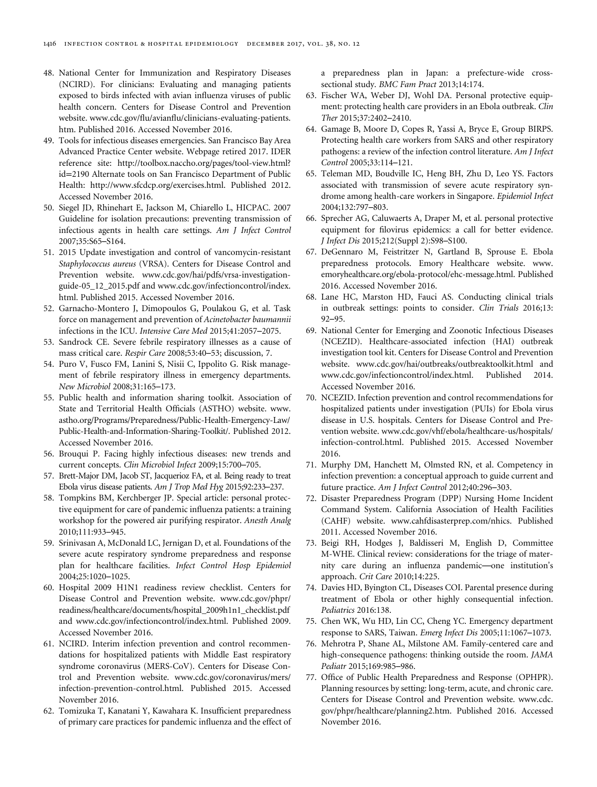- <span id="page-23-0"></span>48. National Center for Immunization and Respiratory Diseases (NCIRD). For clinicians: Evaluating and managing patients exposed to birds infected with avian influenza viruses of public health concern. Centers for Disease Control and Prevention website. www.cdc.gov/flu/avianfl[u/clinicians-evaluating-patients.](www.cdc.gov/flu/avianflu/clinicians-evaluating-patients.htm) [htm](www.cdc.gov/flu/avianflu/clinicians-evaluating-patients.htm). Published 2016. Accessed November 2016.
- 49. Tools for infectious diseases emergencies. San Francisco Bay Area Advanced Practice Center website. Webpage retired 2017. IDER reference site: [http://toolbox.naccho.org/pages/tool-view.html?](http://toolbox.naccho.org/pages/tool-view.html?id=2190) id=[2190](http://toolbox.naccho.org/pages/tool-view.html?id=2190) Alternate tools on San Francisco Department of Public Health: [http://www.sfcdcp.org/exercises.html.](http://www.sfcdcp.org/exercises.html) Published 2012. Accessed November 2016.
- 50. Siegel JD, Rhinehart E, Jackson M, Chiarello L, HICPAC. 2007 Guideline for isolation precautions: preventing transmission of infectious agents in health care settings. Am J Infect Control 2007;35:S65–S164.
- 51. 2015 Update investigation and control of vancomycin-resistant Staphylococcus aureus (VRSA). Centers for Disease Control and Prevention website. [www.cdc.gov/hai/pdfs/vrsa-investigation](www.cdc.gov/hai/pdfs/vrsa-investigation-guide-05_12_2015.pdf)[guide-05\\_12\\_2015.pdf](www.cdc.gov/hai/pdfs/vrsa-investigation-guide-05_12_2015.pdf) and [www.cdc.gov/infectioncontrol/index.](www.cdc.gov/infectioncontrol/index.html) [html.](www.cdc.gov/infectioncontrol/index.html) Published 2015. Accessed November 2016.
- 52. Garnacho-Montero J, Dimopoulos G, Poulakou G, et al. Task force on management and prevention of Acinetobacter baumannii infections in the ICU. Intensive Care Med 2015;41:2057–2075.
- 53. Sandrock CE. Severe febrile respiratory illnesses as a cause of mass critical care. Respir Care 2008;53:40–53; discussion, 7.
- 54. Puro V, Fusco FM, Lanini S, Nisii C, Ippolito G. Risk management of febrile respiratory illness in emergency departments. New Microbiol 2008;31:165–173.
- 55. Public health and information sharing toolkit. Association of State and Territorial Health Officials (ASTHO) website. [www.](www.astho.org/Programs/Preparedness/Public-Health-Emergency-Law/Public-Health-and-Information-Sharing-Toolkit/) [astho.org/Programs/Preparedness/Public-Health-Emergency-Law/](www.astho.org/Programs/Preparedness/Public-Health-Emergency-Law/Public-Health-and-Information-Sharing-Toolkit/) [Public-Health-and-Information-Sharing-Toolkit/](www.astho.org/Programs/Preparedness/Public-Health-Emergency-Law/Public-Health-and-Information-Sharing-Toolkit/). Published 2012. Accessed November 2016.
- 56. Brouqui P. Facing highly infectious diseases: new trends and current concepts. Clin Microbiol Infect 2009;15:700–705.
- 57. Brett-Major DM, Jacob ST, Jacquerioz FA, et al. Being ready to treat Ebola virus disease patients. Am J Trop Med Hyg 2015;92:233–237.
- 58. Tompkins BM, Kerchberger JP. Special article: personal protective equipment for care of pandemic influenza patients: a training workshop for the powered air purifying respirator. Anesth Analg 2010;111:933–945.
- 59. Srinivasan A, McDonald LC, Jernigan D, et al. Foundations of the severe acute respiratory syndrome preparedness and response plan for healthcare facilities. Infect Control Hosp Epidemiol 2004;25:1020–1025.
- 60. Hospital 2009 H1N1 readiness review checklist. Centers for Disease Control and Prevention website. [www.cdc.gov/phpr/](www.cdc.gov/phpr/readiness/healthcare/documents/hospital_2009h1n1_checklist.pdf) [readiness/healthcare/documents/hospital\\_2009h1n1\\_checklist.pdf](www.cdc.gov/phpr/readiness/healthcare/documents/hospital_2009h1n1_checklist.pdf) and<www.cdc.gov/infectioncontrol/index.html>. Published 2009. Accessed November 2016.
- 61. NCIRD. Interim infection prevention and control recommendations for hospitalized patients with Middle East respiratory syndrome coronavirus (MERS-CoV). Centers for Disease Control and Prevention website. [www.cdc.gov/coronavirus/mers/](www.cdc.gov/coronavirus/mers/infection-prevention-control.html) [infection-prevention-control.html.](www.cdc.gov/coronavirus/mers/infection-prevention-control.html) Published 2015. Accessed November 2016.
- 62. Tomizuka T, Kanatani Y, Kawahara K. Insufficient preparedness of primary care practices for pandemic influenza and the effect of

a preparedness plan in Japan: a prefecture-wide crosssectional study. BMC Fam Pract 2013;14:174.

- 63. Fischer WA, Weber DJ, Wohl DA. Personal protective equipment: protecting health care providers in an Ebola outbreak. Clin Ther 2015;37:2402–2410.
- 64. Gamage B, Moore D, Copes R, Yassi A, Bryce E, Group BIRPS. Protecting health care workers from SARS and other respiratory pathogens: a review of the infection control literature. Am J Infect Control 2005;33:114–121.
- 65. Teleman MD, Boudville IC, Heng BH, Zhu D, Leo YS. Factors associated with transmission of severe acute respiratory syndrome among health-care workers in Singapore. Epidemiol Infect 2004;132:797–803.
- 66. Sprecher AG, Caluwaerts A, Draper M, et al. personal protective equipment for filovirus epidemics: a call for better evidence. J Infect Dis 2015;212(Suppl 2):S98–S100.
- 67. DeGennaro M, Feistritzer N, Gartland B, Sprouse E. Ebola preparedness protocols. Emory Healthcare website. [www.](www.emoryhealthcare.org/ebola-protocol/ehc-message.html) [emoryhealthcare.org/ebola-protocol/ehc-message.html](www.emoryhealthcare.org/ebola-protocol/ehc-message.html). Published 2016. Accessed November 2016.
- 68. Lane HC, Marston HD, Fauci AS. Conducting clinical trials in outbreak settings: points to consider. Clin Trials 2016;13: 92–95.
- 69. National Center for Emerging and Zoonotic Infectious Diseases (NCEZID). Healthcare-associated infection (HAI) outbreak investigation tool kit. Centers for Disease Control and Prevention website.<www.cdc.gov/hai/outbreaks/outbreaktoolkit.html> and <www.cdc.gov/infectioncontrol/index.html>. Published 2014. Accessed November 2016.
- 70. NCEZID. Infection prevention and control recommendations for hospitalized patients under investigation (PUIs) for Ebola virus disease in U.S. hospitals. Centers for Disease Control and Prevention website. [www.cdc.gov/vhf/ebola/healthcare-us/hospitals/](www.cdc.gov/vhf/ebola/healthcare-us/hospitals/infection-control.html) [infection-control.html.](www.cdc.gov/vhf/ebola/healthcare-us/hospitals/infection-control.html) Published 2015. Accessed November 2016.
- 71. Murphy DM, Hanchett M, Olmsted RN, et al. Competency in infection prevention: a conceptual approach to guide current and future practice. Am J Infect Control 2012;40:296–303.
- 72. Disaster Preparedness Program (DPP) Nursing Home Incident Command System. California Association of Health Facilities (CAHF) website.<www.cahfdisasterprep.com/nhics>. Published 2011. Accessed November 2016.
- 73. Beigi RH, Hodges J, Baldisseri M, English D, Committee M-WHE. Clinical review: considerations for the triage of maternity care during an influenza pandemic—one institution's approach. Crit Care 2010;14:225.
- 74. Davies HD, Byington CL, Diseases COI. Parental presence during treatment of Ebola or other highly consequential infection. Pediatrics 2016:138.
- 75. Chen WK, Wu HD, Lin CC, Cheng YC. Emergency department response to SARS, Taiwan. Emerg Infect Dis 2005;11:1067–1073.
- 76. Mehrotra P, Shane AL, Milstone AM. Family-centered care and high-consequence pathogens: thinking outside the room. JAMA Pediatr 2015;169:985–986.
- 77. Office of Public Health Preparedness and Response (OPHPR). Planning resources by setting: long-term, acute, and chronic care. Centers for Disease Control and Prevention website. [www.cdc.](www.cdc.gov/phpr/healthcare/planning2.htm) [gov/phpr/healthcare/planning2.htm.](www.cdc.gov/phpr/healthcare/planning2.htm) Published 2016. Accessed November 2016.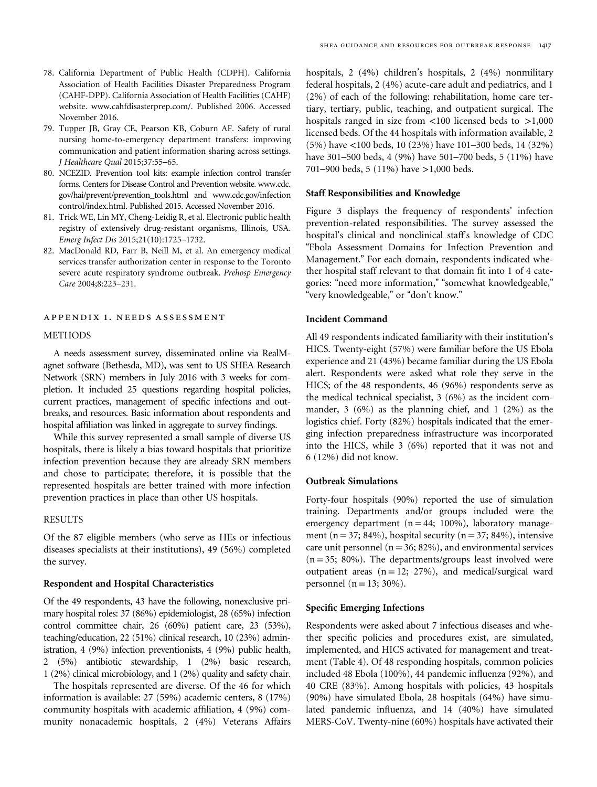- <span id="page-24-0"></span>78. California Department of Public Health (CDPH). California Association of Health Facilities Disaster Preparedness Program (CAHF-DPP). California Association of Health Facilities (CAHF) website. [www.cahfdisasterprep.com/.](www.cahfdisasterprep.com/) Published 2006. Accessed November 2016.
- 79. Tupper JB, Gray CE, Pearson KB, Coburn AF. Safety of rural nursing home-to-emergency department transfers: improving communication and patient information sharing across settings. J Healthcare Qual 2015;37:55–65.
- 80. NCEZID. Prevention tool kits: example infection control transfer forms. Centers for Disease Control and Prevention website. [www.cdc.](www.cdc.gov/hai/prevent/prevention_tools.html) [gov/hai/prevent/prevention\\_tools.html](www.cdc.gov/hai/prevent/prevention_tools.html) and [www.cdc.gov/infection](www.cdc.gov/infectioncontrol/index.html) [control/index.html.](www.cdc.gov/infectioncontrol/index.html) Published 2015. Accessed November 2016.
- 81. Trick WE, Lin MY, Cheng-Leidig R, et al. Electronic public health registry of extensively drug-resistant organisms, Illinois, USA. Emerg Infect Dis 2015;21(10):1725–1732.
- 82. MacDonald RD, Farr B, Neill M, et al. An emergency medical services transfer authorization center in response to the Toronto severe acute respiratory syndrome outbreak. Prehosp Emergency Care 2004;8:223–231.

# appendix 1. needs assessment

#### METHODS

A needs assessment survey, disseminated online via RealMagnet software (Bethesda, MD), was sent to US SHEA Research Network (SRN) members in July 2016 with 3 weeks for completion. It included 25 questions regarding hospital policies, current practices, management of specific infections and outbreaks, and resources. Basic information about respondents and hospital affiliation was linked in aggregate to survey findings.

While this survey represented a small sample of diverse US hospitals, there is likely a bias toward hospitals that prioritize infection prevention because they are already SRN members and chose to participate; therefore, it is possible that the represented hospitals are better trained with more infection prevention practices in place than other US hospitals.

#### RESULTS

Of the 87 eligible members (who serve as HEs or infectious diseases specialists at their institutions), 49 (56%) completed the survey.

# Respondent and Hospital Characteristics

Of the 49 respondents, 43 have the following, nonexclusive primary hospital roles: 37 (86%) epidemiologist, 28 (65%) infection control committee chair, 26 (60%) patient care, 23 (53%), teaching/education, 22 (51%) clinical research, 10 (23%) administration, 4 (9%) infection preventionists, 4 (9%) public health, 2 (5%) antibiotic stewardship, 1 (2%) basic research, 1 (2%) clinical microbiology, and 1 (2%) quality and safety chair.

The hospitals represented are diverse. Of the 46 for which information is available: 27 (59%) academic centers, 8 (17%) community hospitals with academic affiliation, 4 (9%) community nonacademic hospitals, 2 (4%) Veterans Affairs hospitals, 2 (4%) children's hospitals, 2 (4%) nonmilitary federal hospitals, 2 (4%) acute-care adult and pediatrics, and 1 (2%) of each of the following: rehabilitation, home care tertiary, tertiary, public, teaching, and outpatient surgical. The hospitals ranged in size from <100 licensed beds to >1,000 licensed beds. Of the 44 hospitals with information available, 2 (5%) have <100 beds, 10 (23%) have 101–300 beds, 14 (32%) have 301–500 beds, 4 (9%) have 501–700 beds, 5 (11%) have 701–900 beds, 5 (11%) have >1,000 beds.

#### Staff Responsibilities and Knowledge

[Figure 3](#page-25-0) displays the frequency of respondents' infection prevention-related responsibilities. The survey assessed the hospital's clinical and nonclinical staff's knowledge of CDC "Ebola Assessment Domains for Infection Prevention and Management." For each domain, respondents indicated whether hospital staff relevant to that domain fit into 1 of 4 categories: "need more information," "somewhat knowledgeable," "very knowledgeable," or "don't know."

# Incident Command

All 49 respondents indicated familiarity with their institution's HICS. Twenty-eight (57%) were familiar before the US Ebola experience and 21 (43%) became familiar during the US Ebola alert. Respondents were asked what role they serve in the HICS; of the 48 respondents, 46 (96%) respondents serve as the medical technical specialist, 3 (6%) as the incident commander, 3 (6%) as the planning chief, and 1 (2%) as the logistics chief. Forty (82%) hospitals indicated that the emerging infection preparedness infrastructure was incorporated into the HICS, while 3 (6%) reported that it was not and 6 (12%) did not know.

#### Outbreak Simulations

Forty-four hospitals (90%) reported the use of simulation training. Departments and/or groups included were the emergency department  $(n = 44; 100\%)$ , laboratory management (n = 37; 84%), hospital security (n = 37; 84%), intensive care unit personnel ( $n = 36$ ; 82%), and environmental services  $(n= 35; 80\%)$ . The departments/groups least involved were outpatient areas  $(n = 12; 27%)$ , and medical/surgical ward personnel ( $n = 13$ ; 30%).

#### Specific Emerging Infections

Respondents were asked about 7 infectious diseases and whether specific policies and procedures exist, are simulated, implemented, and HICS activated for management and treatment [\(Table 4\)](#page-25-0). Of 48 responding hospitals, common policies included 48 Ebola (100%), 44 pandemic influenza (92%), and 40 CRE (83%). Among hospitals with policies, 43 hospitals (90%) have simulated Ebola, 28 hospitals (64%) have simulated pandemic influenza, and 14 (40%) have simulated MERS-CoV. Twenty-nine (60%) hospitals have activated their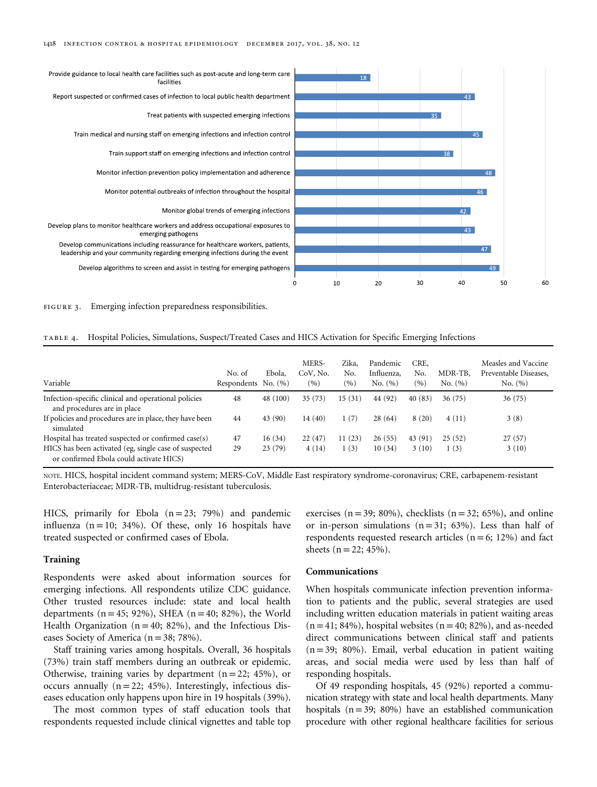<span id="page-25-0"></span>



| TABLE 4. Hospital Policies, Simulations, Suspect/Treated Cases and HICS Activation for Specific Emerging Infections |  |  |  |  |
|---------------------------------------------------------------------------------------------------------------------|--|--|--|--|
|                                                                                                                     |  |  |  |  |

| Variable                                                                                         | No. of<br>Respondents $No. (%)$ | Ebola,   | MERS-<br>CoV, No.<br>(9/6) | Zika.<br>No.<br>(%) | Pandemic<br>Influenza,<br>No. (%) | CRE.<br>No.<br>(9/0) | MDR-TB,<br>No. (%) | Measles and Vaccine<br>Preventable Diseases,<br>No. (%) |
|--------------------------------------------------------------------------------------------------|---------------------------------|----------|----------------------------|---------------------|-----------------------------------|----------------------|--------------------|---------------------------------------------------------|
| Infection-specific clinical and operational policies<br>and procedures are in place              | 48                              | 48 (100) | 35(73)                     | 15(31)              | 44 (92)                           | 40(83)               | 36(75)             | 36(75)                                                  |
| If policies and procedures are in place, they have been<br>simulated                             | 44                              | 43 (90)  | 14(40)                     | 1(7)                | 28(64)                            | 8(20)                | 4(11)              | 3(8)                                                    |
| Hospital has treated suspected or confirmed case(s)                                              | 47                              | 16(34)   | 22(47)                     | 11(23)              | 26(55)                            | 43 (91)              | 25(52)             | 27(57)                                                  |
| HICS has been activated (eg, single case of suspected<br>or confirmed Ebola could activate HICS) | 29                              | 23(79)   | 4(14)                      | 1(3)                | 10(34)                            | 3(10)                | 1(3)               | 3(10)                                                   |

NOTE. HICS, hospital incident command system; MERS-CoV, Middle East respiratory syndrome-coronavirus; CRE, carbapenem-resistant Enterobacteriaceae; MDR-TB, multidrug-resistant tuberculosis.

HICS, primarily for Ebola  $(n=23; 79%)$  and pandemic influenza  $(n = 10; 34%)$ . Of these, only 16 hospitals have treated suspected or confirmed cases of Ebola.

#### Training

Respondents were asked about information sources for emerging infections. All respondents utilize CDC guidance. Other trusted resources include: state and local health departments  $(n = 45; 92\%)$ , SHEA  $(n = 40; 82\%)$ , the World Health Organization ( $n = 40$ ; 82%), and the Infectious Diseases Society of America ( $n = 38$ ; 78%).

Staff training varies among hospitals. Overall, 36 hospitals (73%) train staff members during an outbreak or epidemic. Otherwise, training varies by department  $(n = 22; 45\%)$ , or occurs annually  $(n = 22; 45%)$ . Interestingly, infectious diseases education only happens upon hire in 19 hospitals (39%).

The most common types of staff education tools that respondents requested include clinical vignettes and table top exercises ( $n = 39$ ; 80%), checklists ( $n = 32$ ; 65%), and online or in-person simulations  $(n=31; 63%)$ . Less than half of respondents requested research articles  $(n = 6; 12\%)$  and fact sheets  $(n = 22; 45%)$ .

#### Communications

When hospitals communicate infection prevention information to patients and the public, several strategies are used including written education materials in patient waiting areas  $(n = 41; 84%)$ , hospital websites  $(n = 40; 82%)$ , and as-needed direct communications between clinical staff and patients  $(n= 39; 80%)$ . Email, verbal education in patient waiting areas, and social media were used by less than half of responding hospitals.

Of 49 responding hospitals, 45 (92%) reported a communication strategy with state and local health departments. Many hospitals  $(n=39; 80%)$  have an established communication procedure with other regional healthcare facilities for serious